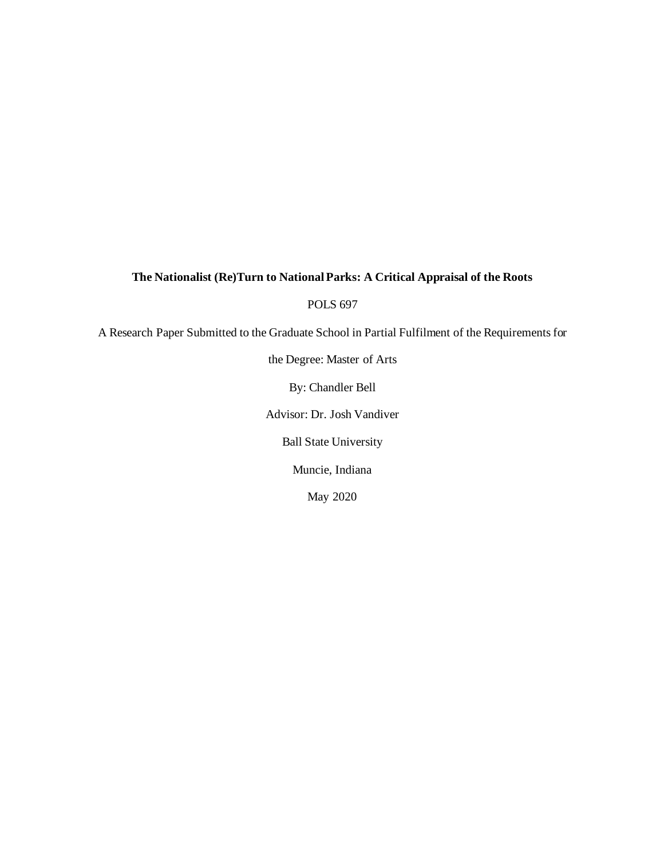# **The Nationalist (Re)Turn to National Parks: A Critical Appraisal of the Roots**

POLS 697

A Research Paper Submitted to the Graduate School in Partial Fulfilment of the Requirements for

the Degree: Master of Arts

By: Chandler Bell

Advisor: Dr. Josh Vandiver

Ball State University

Muncie, Indiana

May 2020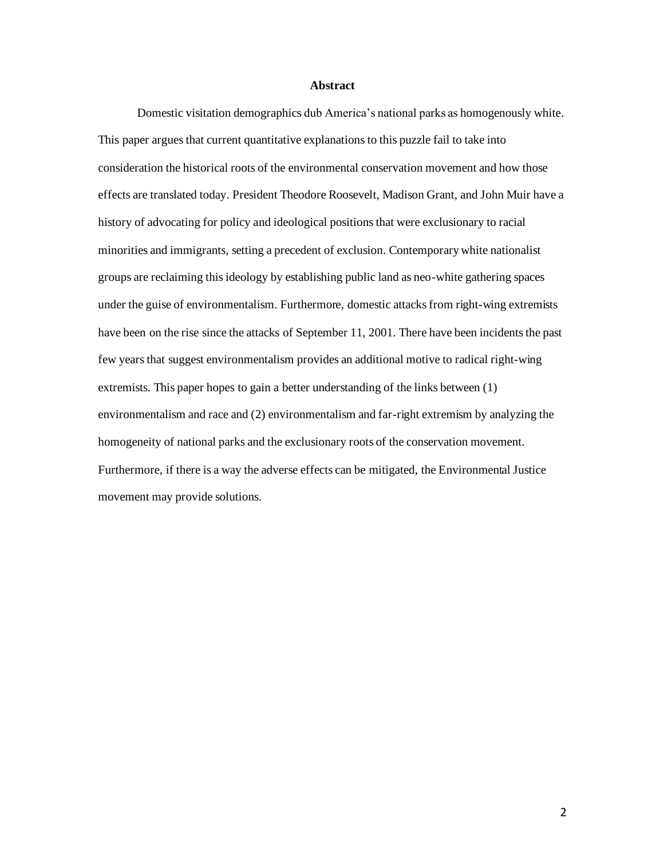### **Abstract**

Domestic visitation demographics dub America's national parks as homogenously white. This paper argues that current quantitative explanations to this puzzle fail to take into consideration the historical roots of the environmental conservation movement and how those effects are translated today. President Theodore Roosevelt, Madison Grant, and John Muir have a history of advocating for policy and ideological positions that were exclusionary to racial minorities and immigrants, setting a precedent of exclusion. Contemporary white nationalist groups are reclaiming this ideology by establishing public land as neo-white gathering spaces under the guise of environmentalism. Furthermore, domestic attacks from right-wing extremists have been on the rise since the attacks of September 11, 2001. There have been incidents the past few years that suggest environmentalism provides an additional motive to radical right-wing extremists. This paper hopes to gain a better understanding of the links between (1) environmentalism and race and (2) environmentalism and far-right extremism by analyzing the homogeneity of national parks and the exclusionary roots of the conservation movement. Furthermore, if there is a way the adverse effects can be mitigated, the Environmental Justice movement may provide solutions.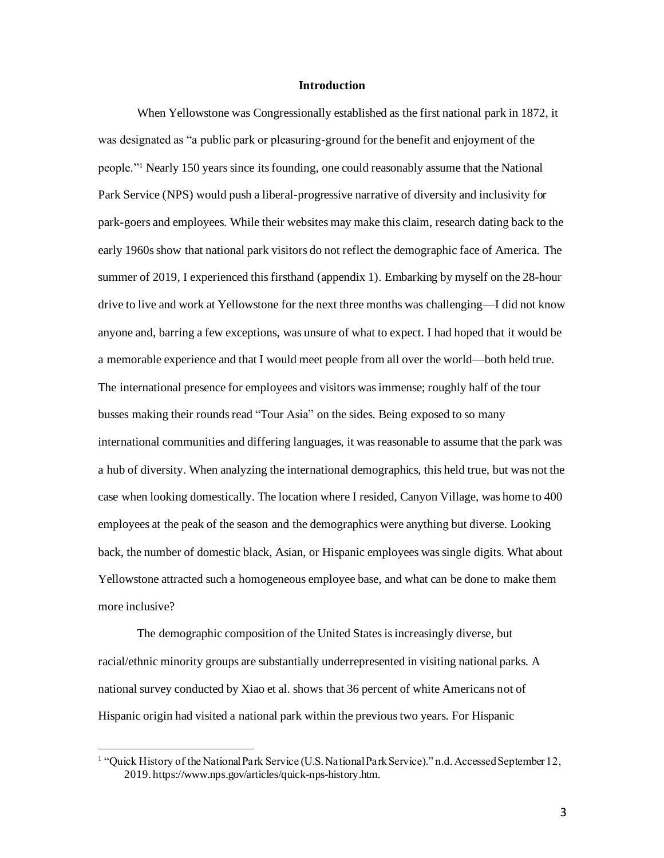### **Introduction**

When Yellowstone was Congressionally established as the first national park in 1872, it was designated as "a public park or pleasuring-ground for the benefit and enjoyment of the people."<sup>1</sup> Nearly 150 years since its founding, one could reasonably assume that the National Park Service (NPS) would push a liberal-progressive narrative of diversity and inclusivity for park-goers and employees. While their websites may make this claim, research dating back to the early 1960s show that national park visitors do not reflect the demographic face of America. The summer of 2019, I experienced this firsthand (appendix 1). Embarking by myself on the 28-hour drive to live and work at Yellowstone for the next three months was challenging—I did not know anyone and, barring a few exceptions, was unsure of what to expect. I had hoped that it would be a memorable experience and that I would meet people from all over the world—both held true. The international presence for employees and visitors was immense; roughly half of the tour busses making their rounds read "Tour Asia" on the sides. Being exposed to so many international communities and differing languages, it was reasonable to assume that the park was a hub of diversity. When analyzing the international demographics, this held true, but was not the case when looking domestically. The location where I resided, Canyon Village, was home to 400 employees at the peak of the season and the demographics were anything but diverse. Looking back, the number of domestic black, Asian, or Hispanic employees was single digits. What about Yellowstone attracted such a homogeneous employee base, and what can be done to make them more inclusive?

The demographic composition of the United States is increasingly diverse, but racial/ethnic minority groups are substantially underrepresented in visiting national parks. A national survey conducted by Xiao et al. shows that 36 percent of white Americans not of Hispanic origin had visited a national park within the previous two years. For Hispanic

<sup>&</sup>lt;sup>1</sup> "Quick History of the National Park Service (U.S. National Park Service)." n.d. Accessed September 12, 2019. https://www.nps.gov/articles/quick-nps-history.htm.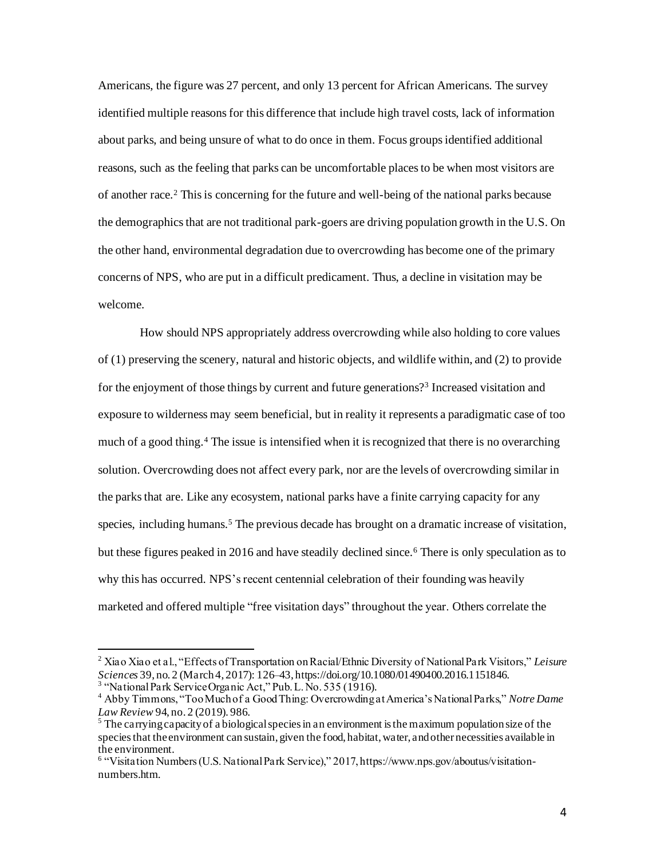Americans, the figure was 27 percent, and only 13 percent for African Americans. The survey identified multiple reasons for this difference that include high travel costs, lack of information about parks, and being unsure of what to do once in them. Focus groups identified additional reasons, such as the feeling that parks can be uncomfortable places to be when most visitors are of another race.<sup>2</sup> This is concerning for the future and well-being of the national parks because the demographics that are not traditional park-goers are driving population growth in the U.S. On the other hand, environmental degradation due to overcrowding has become one of the primary concerns of NPS, who are put in a difficult predicament. Thus, a decline in visitation may be welcome.

How should NPS appropriately address overcrowding while also holding to core values of (1) preserving the scenery, natural and historic objects, and wildlife within, and (2) to provide for the enjoyment of those things by current and future generations?<sup>3</sup> Increased visitation and exposure to wilderness may seem beneficial, but in reality it represents a paradigmatic case of too much of a good thing.<sup>4</sup> The issue is intensified when it is recognized that there is no overarching solution. Overcrowding does not affect every park, nor are the levels of overcrowding similar in the parks that are. Like any ecosystem, national parks have a finite carrying capacity for any species, including humans.<sup>5</sup> The previous decade has brought on a dramatic increase of visitation, but these figures peaked in 2016 and have steadily declined since.<sup>6</sup> There is only speculation as to why this has occurred. NPS's recent centennial celebration of their founding was heavily marketed and offered multiple "free visitation days" throughout the year. Others correlate the

<sup>2</sup> Xiao Xiao et al., "Effects of Transportation on Racial/Ethnic Diversity of National Park Visitors," *Leisure Sciences* 39, no. 2 (March 4, 2017): 126–43, https://doi.org/10.1080/01490400.2016.1151846. <sup>3</sup> "National Park Service Organic Act," Pub. L. No. 535 (1916).

<sup>4</sup> Abby Timmons, "Too Much of a Good Thing: Overcrowding at America's National Parks," *Notre Dame Law Review* 94, no. 2 (2019). 986.

<sup>&</sup>lt;sup>5</sup> The carrying capacity of a biological species in an environment is the maximum population size of the species that the environment can sustain, given the food, habitat, water, and other necessities available in the environment.

<sup>6</sup> "Visitation Numbers (U.S. National Park Service)," 2017, https://www.nps.gov/aboutus/visitationnumbers.htm.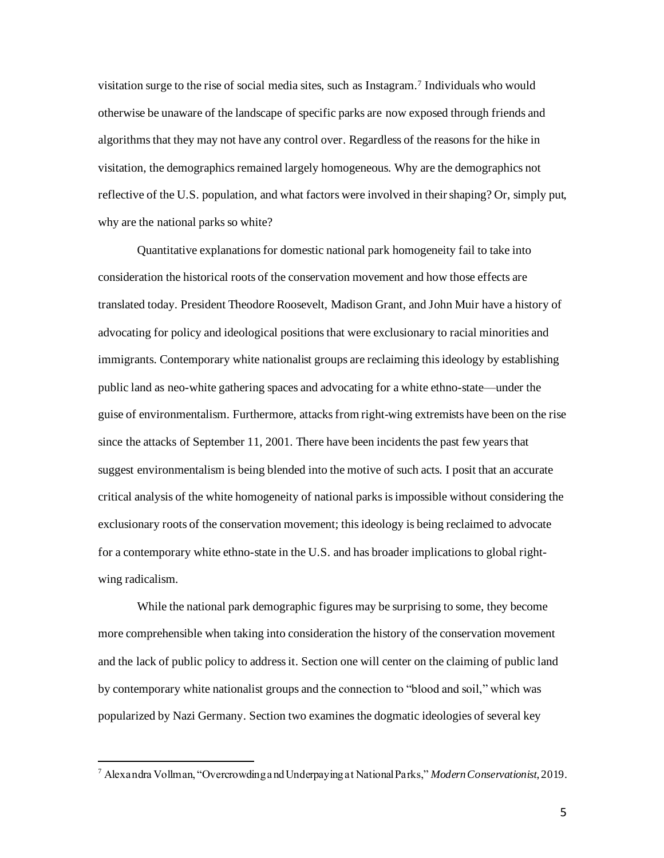visitation surge to the rise of social media sites, such as Instagram. 7 Individuals who would otherwise be unaware of the landscape of specific parks are now exposed through friends and algorithms that they may not have any control over. Regardless of the reasons for the hike in visitation, the demographics remained largely homogeneous. Why are the demographics not reflective of the U.S. population, and what factors were involved in their shaping? Or, simply put, why are the national parks so white?

Quantitative explanations for domestic national park homogeneity fail to take into consideration the historical roots of the conservation movement and how those effects are translated today. President Theodore Roosevelt, Madison Grant, and John Muir have a history of advocating for policy and ideological positionsthat were exclusionary to racial minorities and immigrants. Contemporary white nationalist groups are reclaiming this ideology by establishing public land as neo-white gathering spaces and advocating for a white ethno-state—under the guise of environmentalism. Furthermore, attacks from right-wing extremists have been on the rise since the attacks of September 11, 2001. There have been incidents the past few years that suggest environmentalism is being blended into the motive of such acts. I posit that an accurate critical analysis of the white homogeneity of national parks is impossible without considering the exclusionary roots of the conservation movement; this ideology is being reclaimed to advocate for a contemporary white ethno-state in the U.S. and has broader implications to global rightwing radicalism.

While the national park demographic figures may be surprising to some, they become more comprehensible when taking into consideration the history of the conservation movement and the lack of public policy to address it. Section one will center on the claiming of public land by contemporary white nationalist groups and the connection to "blood and soil," which was popularized by Nazi Germany. Section two examines the dogmatic ideologies of several key

<sup>7</sup> Alexandra Vollman, "Overcrowding and Underpaying at National Parks," *Modern Conservationist*, 2019.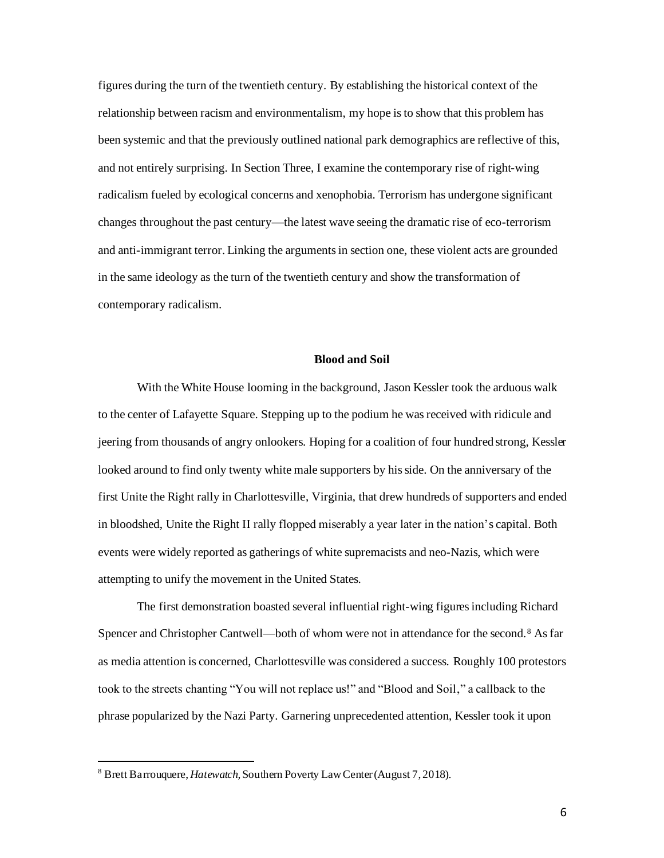figures during the turn of the twentieth century. By establishing the historical context of the relationship between racism and environmentalism, my hope is to show that this problem has been systemic and that the previously outlined national park demographics are reflective of this, and not entirely surprising. In Section Three, I examine the contemporary rise of right-wing radicalism fueled by ecological concerns and xenophobia. Terrorism has undergone significant changes throughout the past century—the latest wave seeing the dramatic rise of eco-terrorism and anti-immigrant terror. Linking the arguments in section one, these violent acts are grounded in the same ideology as the turn of the twentieth century and show the transformation of contemporary radicalism.

# **Blood and Soil**

With the White House looming in the background, Jason Kessler took the arduous walk to the center of Lafayette Square. Stepping up to the podium he was received with ridicule and jeering from thousands of angry onlookers. Hoping for a coalition of four hundred strong, Kessler looked around to find only twenty white male supporters by his side. On the anniversary of the first Unite the Right rally in Charlottesville, Virginia, that drew hundreds of supporters and ended in bloodshed, Unite the Right II rally flopped miserably a year later in the nation's capital. Both events were widely reported as gatherings of white supremacists and neo-Nazis, which were attempting to unify the movement in the United States.

The first demonstration boasted several influential right-wing figures including Richard Spencer and Christopher Cantwell—both of whom were not in attendance for the second.<sup>8</sup> As far as media attention is concerned, Charlottesville was considered a success. Roughly 100 protestors took to the streets chanting "You will not replace us!" and "Blood and Soil," a callback to the phrase popularized by the Nazi Party. Garnering unprecedented attention, Kessler took it upon

<sup>8</sup> Brett Barrouquere, *Hatewatch,* Southern Poverty Law Center (August 7, 2018).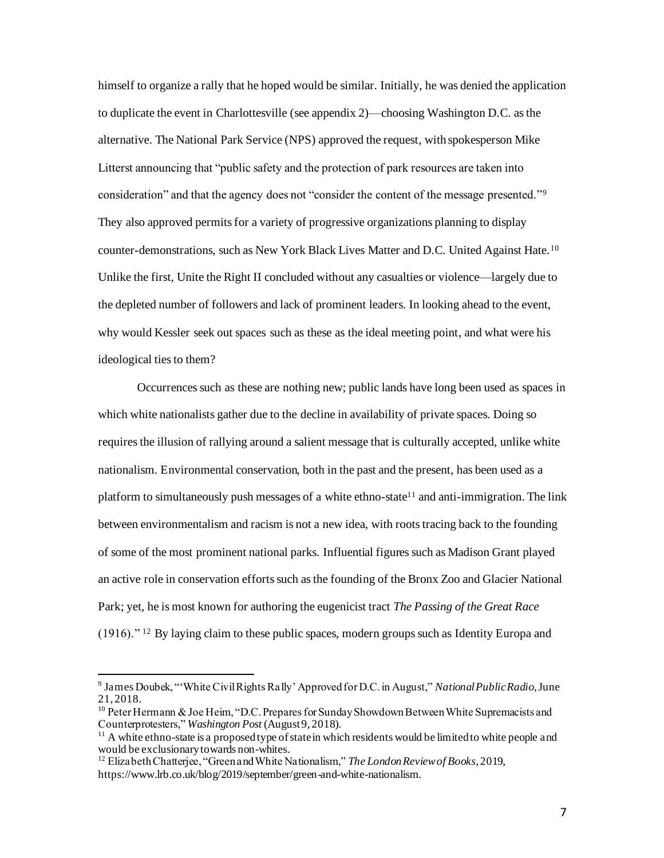himself to organize a rally that he hoped would be similar. Initially, he was denied the application to duplicate the event in Charlottesville (see appendix 2)—choosing Washington D.C. as the alternative. The National Park Service (NPS) approved the request, with spokesperson Mike Litterst announcing that "public safety and the protection of park resources are taken into consideration" and that the agency does not "consider the content of the message presented."<sup>9</sup> They also approved permits for a variety of progressive organizations planning to display counter-demonstrations, such as New York Black Lives Matter and D.C. United Against Hate.<sup>10</sup> Unlike the first, Unite the Right II concluded without any casualties or violence—largely due to the depleted number of followers and lack of prominent leaders. In looking ahead to the event, why would Kessler seek out spaces such as these as the ideal meeting point, and what were his ideological ties to them?

Occurrences such as these are nothing new; public lands have long been used as spaces in which white nationalists gather due to the decline in availability of private spaces. Doing so requiresthe illusion of rallying around a salient message that is culturally accepted, unlike white nationalism. Environmental conservation, both in the past and the present, has been used as a platform to simultaneously push messages of a white ethno-state<sup>11</sup> and anti-immigration. The link between environmentalism and racism is not a new idea, with roots tracing back to the founding of some of the most prominent national parks. Influential figures such as Madison Grant played an active role in conservation efforts such as the founding of the Bronx Zoo and Glacier National Park; yet, he is most known for authoring the eugenicist tract *The Passing of the Great Race*  (1916)." <sup>12</sup> By laying claim to these public spaces, modern groups such as Identity Europa and

<sup>9</sup> James Doubek, "'White Civil Rights Rally' Approved for D.C. in August," *National Public Radio*, June 21, 2018.

 $10$  Peter Hermann & Joe Heim, "D.C. Prepares for Sunday Showdown Between White Supremacists and Counterprotesters," *Washington Post* (August 9, 2018).

 $11$  A white ethno-state is a proposed type of state in which residents would be limited to white people and would be exclusionary towards non-whites.

<sup>12</sup> Elizabeth Chatterjee, "Green and White Nationalism," *The London Review of Books*, 2019, https://www.lrb.co.uk/blog/2019/september/green-and-white-nationalism.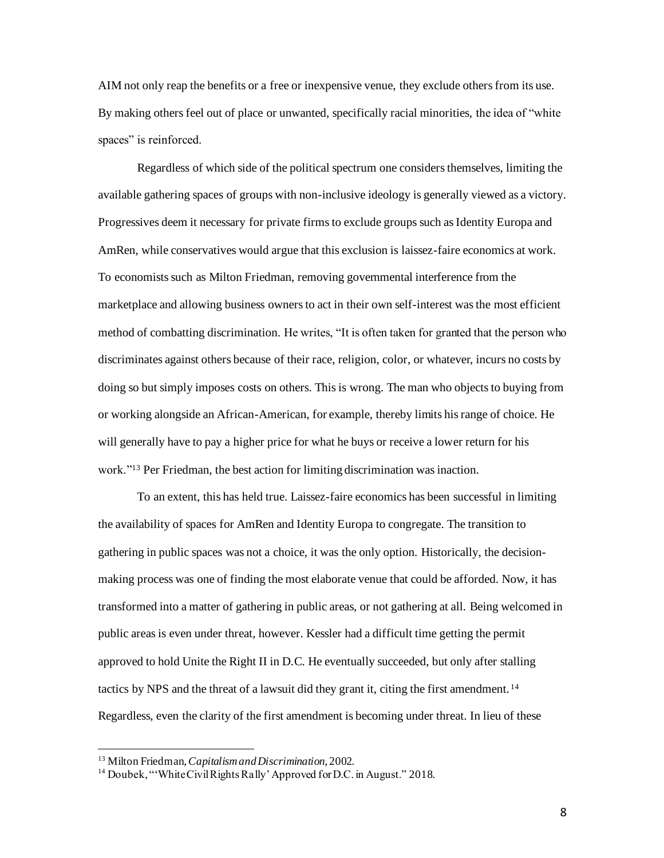AIM not only reap the benefits or a free or inexpensive venue, they exclude others from its use. By making others feel out of place or unwanted, specifically racial minorities, the idea of "white spaces" is reinforced.

Regardless of which side of the political spectrum one considers themselves, limiting the available gathering spaces of groups with non-inclusive ideology is generally viewed as a victory. Progressives deem it necessary for private firmsto exclude groups such as Identity Europa and AmRen, while conservatives would argue that this exclusion is laissez-faire economics at work. To economists such as Milton Friedman, removing governmental interference from the marketplace and allowing business owners to act in their own self-interest was the most efficient method of combatting discrimination. He writes, "It is often taken for granted that the person who discriminates against others because of their race, religion, color, or whatever, incurs no costs by doing so but simply imposes costs on others. This is wrong. The man who objects to buying from or working alongside an African-American, for example, thereby limits his range of choice. He will generally have to pay a higher price for what he buys or receive a lower return for his work."<sup>13</sup> Per Friedman, the best action for limiting discrimination was inaction.

To an extent, this has held true. Laissez-faire economics has been successful in limiting the availability of spaces for AmRen and Identity Europa to congregate. The transition to gathering in public spaces was not a choice, it was the only option. Historically, the decisionmaking process was one of finding the most elaborate venue that could be afforded. Now, it has transformed into a matter of gathering in public areas, or not gathering at all. Being welcomed in public areas is even under threat, however. Kessler had a difficult time getting the permit approved to hold Unite the Right II in D.C. He eventually succeeded, but only after stalling tactics by NPS and the threat of a lawsuit did they grant it, citing the first amendment. <sup>14</sup> Regardless, even the clarity of the first amendment is becoming under threat. In lieu of these

<sup>13</sup> Milton Friedman, *Capitalism and Discrimination*, 2002.

<sup>&</sup>lt;sup>14</sup> Doubek, "'White Civil Rights Rally' Approved for D.C. in August." 2018.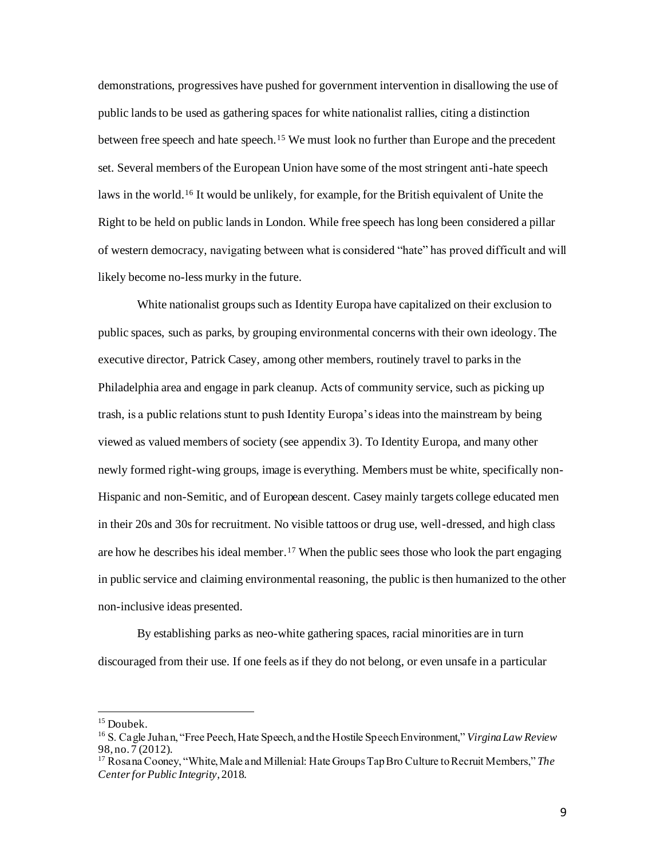demonstrations, progressives have pushed for government intervention in disallowing the use of public lands to be used as gathering spaces for white nationalist rallies, citing a distinction between free speech and hate speech.<sup>15</sup> We must look no further than Europe and the precedent set. Several members of the European Union have some of the most stringent anti-hate speech laws in the world.<sup>16</sup> It would be unlikely, for example, for the British equivalent of Unite the Right to be held on public lands in London. While free speech has long been considered a pillar of western democracy, navigating between what is considered "hate" has proved difficult and will likely become no-less murky in the future.

White nationalist groups such as Identity Europa have capitalized on their exclusion to public spaces, such as parks, by grouping environmental concerns with their own ideology. The executive director, Patrick Casey, among other members, routinely travel to parks in the Philadelphia area and engage in park cleanup. Acts of community service, such as picking up trash, is a public relations stunt to push Identity Europa's ideas into the mainstream by being viewed as valued members of society (see appendix 3). To Identity Europa, and many other newly formed right-wing groups, image is everything. Members must be white, specifically non-Hispanic and non-Semitic, and of European descent. Casey mainly targets college educated men in their 20s and 30s for recruitment. No visible tattoos or drug use, well-dressed, and high class are how he describes his ideal member.<sup>17</sup> When the public sees those who look the part engaging in public service and claiming environmental reasoning, the public is then humanized to the other non-inclusive ideas presented.

By establishing parks as neo-white gathering spaces, racial minorities are in turn discouraged from their use. If one feels as if they do not belong, or even unsafe in a particular

<sup>&</sup>lt;sup>15</sup> Doubek.

<sup>16</sup> S. Cagle Juhan, "Free Peech, Hate Speech, and the Hostile Speech Environment," *Virgina Law Review* 98, no. 7 (2012).

<sup>17</sup> Rosana Cooney, "White, Male and Millenial: Hate Groups Tap Bro Culture to Recruit Members," *The Center for Public Integrity*, 2018.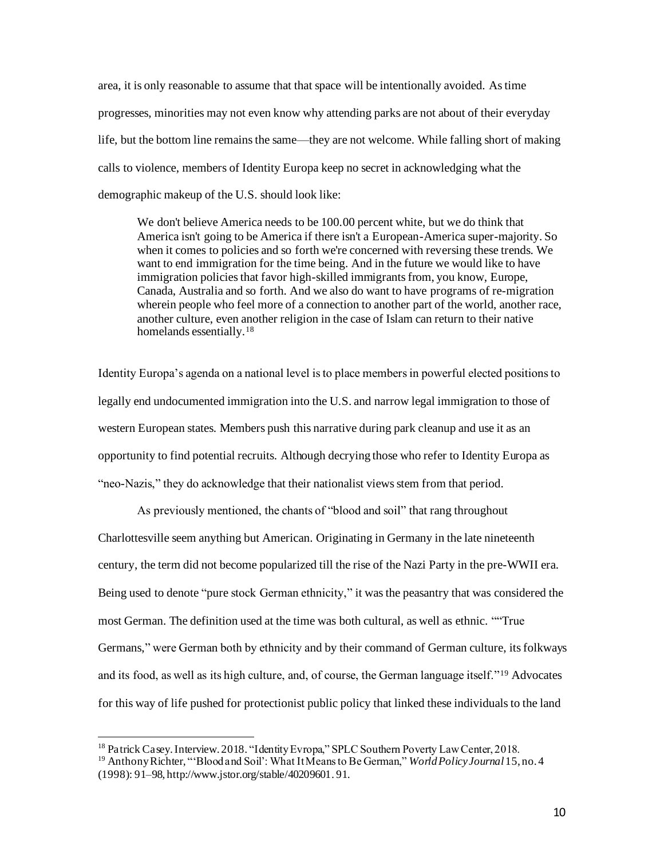area, it is only reasonable to assume that that space will be intentionally avoided. As time progresses, minorities may not even know why attending parks are not about of their everyday life, but the bottom line remains the same—they are not welcome. While falling short of making calls to violence, members of Identity Europa keep no secret in acknowledging what the demographic makeup of the U.S. should look like:

We don't believe America needs to be 100.00 percent white, but we do think that America isn't going to be America if there isn't a European-America super-majority. So when it comes to policies and so forth we're concerned with reversing these trends. We want to end immigration for the time being. And in the future we would like to have immigration policies that favor high-skilled immigrants from, you know, Europe, Canada, Australia and so forth. And we also do want to have programs of re-migration wherein people who feel more of a connection to another part of the world, another race, another culture, even another religion in the case of Islam can return to their native homelands essentially.<sup>18</sup>

Identity Europa's agenda on a national level is to place members in powerful elected positions to legally end undocumented immigration into the U.S. and narrow legal immigration to those of western European states. Members push this narrative during park cleanup and use it as an opportunity to find potential recruits. Although decrying those who refer to Identity Europa as "neo-Nazis," they do acknowledge that their nationalist views stem from that period.

As previously mentioned, the chants of "blood and soil" that rang throughout Charlottesville seem anything but American. Originating in Germany in the late nineteenth century, the term did not become popularized till the rise of the Nazi Party in the pre-WWII era. Being used to denote "pure stock German ethnicity," it was the peasantry that was considered the most German. The definition used at the time was both cultural, as well as ethnic. ""True Germans," were German both by ethnicity and by their command of German culture, its folkways and its food, as well as its high culture, and, of course, the German language itself."<sup>19</sup> Advocates for this way of life pushed for protectionist public policy that linked these individuals to the land

<sup>&</sup>lt;sup>18</sup> Patrick Casey. Interview. 2018. "Identity Evropa," SPLC Southern Poverty Law Center, 2018.

<sup>19</sup> Anthony Richter, "'Blood and Soil': What It Means to Be German," *World Policy Journal*15, no. 4 (1998): 91–98, http://www.jstor.org/stable/40209601. 91.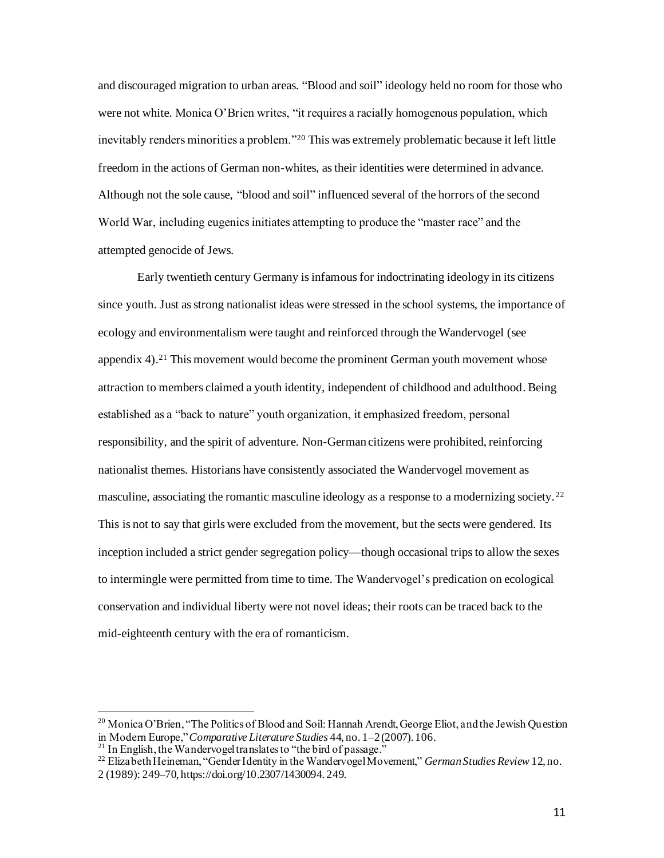and discouraged migration to urban areas. "Blood and soil" ideology held no room for those who were not white. Monica O'Brien writes, "it requires a racially homogenous population, which inevitably renders minorities a problem."<sup>20</sup> This was extremely problematic because it left little freedom in the actions of German non-whites, as their identities were determined in advance. Although not the sole cause, "blood and soil" influenced several of the horrors of the second World War, including eugenics initiates attempting to produce the "master race" and the attempted genocide of Jews.

Early twentieth century Germany is infamous for indoctrinating ideology in its citizens since youth. Just as strong nationalist ideas were stressed in the school systems, the importance of ecology and environmentalism were taught and reinforced through the Wandervogel (see appendix  $4$ ).<sup>21</sup> This movement would become the prominent German youth movement whose attraction to members claimed a youth identity, independent of childhood and adulthood. Being established as a "back to nature" youth organization, it emphasized freedom, personal responsibility, and the spirit of adventure. Non-German citizens were prohibited, reinforcing nationalist themes. Historians have consistently associated the Wandervogel movement as masculine, associating the romantic masculine ideology as a response to a modernizing society.<sup>22</sup> This is not to say that girls were excluded from the movement, but the sects were gendered. Its inception included a strict gender segregation policy—though occasional trips to allow the sexes to intermingle were permitted from time to time. The Wandervogel's predication on ecological conservation and individual liberty were not novel ideas; their roots can be traced back to the mid-eighteenth century with the era of romanticism.

<sup>&</sup>lt;sup>20</sup> Monica O'Brien, "The Politics of Blood and Soil: Hannah Arendt, George Eliot, and the Jewish Question in Modern Europe," *Comparative Literature Studies* 44, no. 1–2 (2007). 106.

<sup>&</sup>lt;sup>21</sup> In English, the Wandervogel translates to "the bird of passage."

<sup>22</sup> Elizabeth Heineman, "Gender Identity in the Wandervogel Movement," *German Studies Review* 12, no. 2 (1989): 249–70, https://doi.org/10.2307/1430094. 249.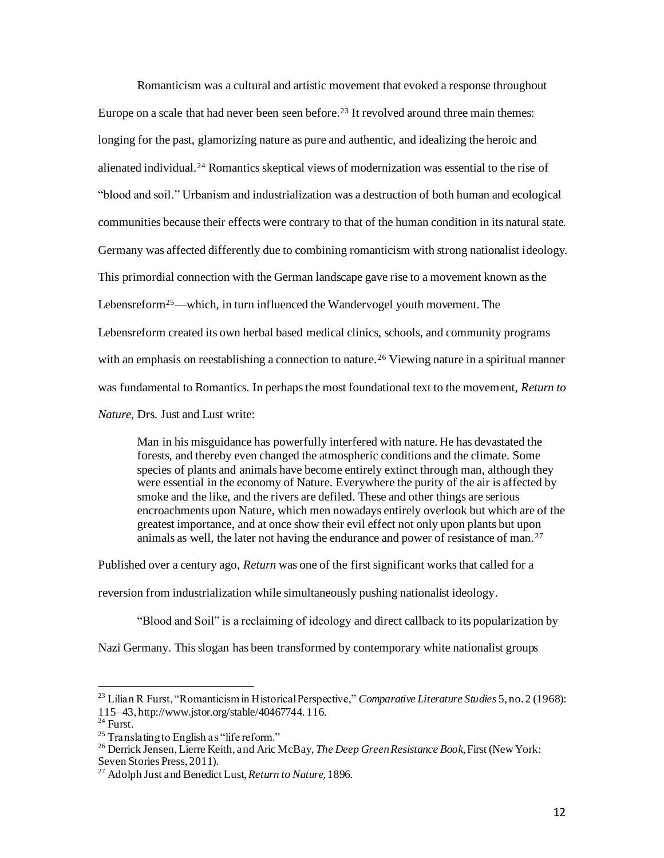Romanticism was a cultural and artistic movement that evoked a response throughout Europe on a scale that had never been seen before. <sup>23</sup> It revolved around three main themes: longing for the past, glamorizing nature as pure and authentic, and idealizing the heroic and alienated individual.<sup>24</sup> Romantics skeptical views of modernization was essential to the rise of "blood and soil." Urbanism and industrialization was a destruction of both human and ecological communities because their effects were contrary to that of the human condition in its natural state. Germany was affected differently due to combining romanticism with strong nationalist ideology. This primordial connection with the German landscape gave rise to a movement known as the Lebensreform<sup>25</sup>—which, in turn influenced the Wandervogel youth movement. The Lebensreform created its own herbal based medical clinics, schools, and community programs with an emphasis on reestablishing a connection to nature.<sup>26</sup> Viewing nature in a spiritual manner was fundamental to Romantics. In perhaps the most foundational text to the movement, *Return to Nature,* Drs. Just and Lust write:

Man in his misguidance has powerfully interfered with nature. He has devastated the forests, and thereby even changed the atmospheric conditions and the climate. Some species of plants and animals have become entirely extinct through man, although they were essential in the economy of Nature. Everywhere the purity of the air is affected by smoke and the like, and the rivers are defiled. These and other things are serious encroachments upon Nature, which men nowadays entirely overlook but which are of the greatest importance, and at once show their evil effect not only upon plants but upon animals as well, the later not having the endurance and power of resistance of man. <sup>27</sup>

Published over a century ago, *Return* was one of the first significant works that called for a

reversion from industrialization while simultaneously pushing nationalist ideology.

"Blood and Soil" is a reclaiming of ideology and direct callback to its popularization by

Nazi Germany. This slogan has been transformed by contemporary white nationalist groups

<sup>23</sup> Lilian R Furst, "Romanticism in Historical Perspective," *Comparative Literature Studies* 5, no. 2 (1968): 115–43, http://www.jstor.org/stable/40467744. 116.

 $^{24}$  Furst.

<sup>&</sup>lt;sup>25</sup> Translating to English as "life reform."

<sup>26</sup> Derrick Jensen, Lierre Keith, and Aric McBay, *The Deep Green Resistance Book*, First (New York: Seven Stories Press, 2011).

<sup>27</sup> Adolph Just and Benedict Lust, *Return to Nature*, 1896.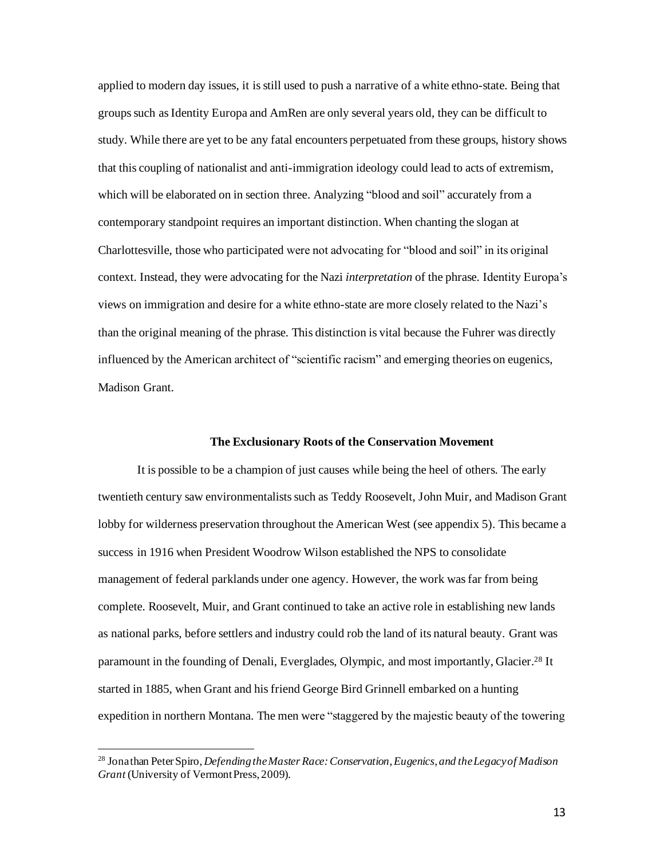applied to modern day issues, it is still used to push a narrative of a white ethno-state. Being that groups such as Identity Europa and AmRen are only several years old, they can be difficult to study. While there are yet to be any fatal encounters perpetuated from these groups, history shows that this coupling of nationalist and anti-immigration ideology could lead to acts of extremism, which will be elaborated on in section three. Analyzing "blood and soil" accurately from a contemporary standpoint requires an important distinction. When chanting the slogan at Charlottesville, those who participated were not advocating for "blood and soil" in its original context. Instead, they were advocating for the Nazi *interpretation* of the phrase. Identity Europa's views on immigration and desire for a white ethno-state are more closely related to the Nazi's than the original meaning of the phrase. This distinction is vital because the Fuhrer was directly influenced by the American architect of "scientific racism" and emerging theories on eugenics, Madison Grant.

## **The Exclusionary Roots of the Conservation Movement**

It is possible to be a champion of just causes while being the heel of others. The early twentieth century saw environmentalists such as Teddy Roosevelt, John Muir, and Madison Grant lobby for wilderness preservation throughout the American West (see appendix 5). This became a success in 1916 when President Woodrow Wilson established the NPS to consolidate management of federal parklands under one agency. However, the work was far from being complete. Roosevelt, Muir, and Grant continued to take an active role in establishing new lands as national parks, before settlers and industry could rob the land of its natural beauty. Grant was paramount in the founding of Denali, Everglades, Olympic, and most importantly, Glacier.<sup>28</sup> It started in 1885, when Grant and his friend George Bird Grinnell embarked on a hunting expedition in northern Montana. The men were "staggered by the majestic beauty of the towering

13

<sup>28</sup> Jonathan Peter Spiro, *Defending the Master Race: Conservation, Eugenics, and the Legacy of Madison Grant* (University of Vermont Press, 2009).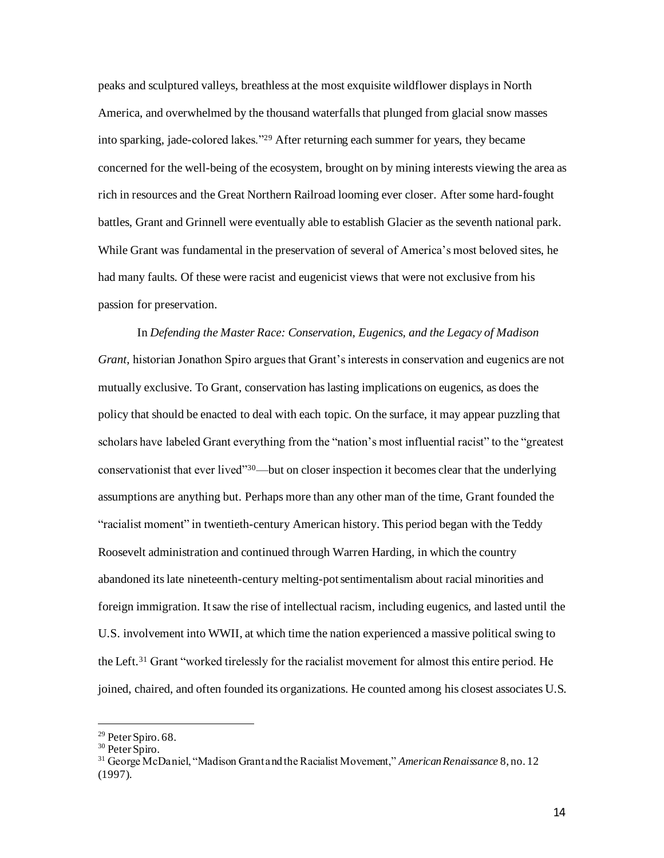peaks and sculptured valleys, breathless at the most exquisite wildflower displays in North America, and overwhelmed by the thousand waterfalls that plunged from glacial snow masses into sparking, jade-colored lakes."<sup>29</sup> After returning each summer for years, they became concerned for the well-being of the ecosystem, brought on by mining interests viewing the area as rich in resources and the Great Northern Railroad looming ever closer. After some hard-fought battles, Grant and Grinnell were eventually able to establish Glacier as the seventh national park. While Grant was fundamental in the preservation of several of America's most beloved sites, he had many faults. Of these were racist and eugenicist views that were not exclusive from his passion for preservation.

In *Defending the Master Race: Conservation, Eugenics, and the Legacy of Madison Grant*, historian Jonathon Spiro argues that Grant's interests in conservation and eugenics are not mutually exclusive. To Grant, conservation has lasting implications on eugenics, as does the policy that should be enacted to deal with each topic. On the surface, it may appear puzzling that scholars have labeled Grant everything from the "nation's most influential racist" to the "greatest conservationist that ever lived"<sup>30</sup>—but on closer inspection it becomes clear that the underlying assumptions are anything but. Perhaps more than any other man of the time, Grant founded the "racialist moment" in twentieth-century American history. This period began with the Teddy Roosevelt administration and continued through Warren Harding, in which the country abandoned its late nineteenth-century melting-pot sentimentalism about racial minorities and foreign immigration. It saw the rise of intellectual racism, including eugenics, and lasted until the U.S. involvement into WWII, at which time the nation experienced a massive political swing to the Left.<sup>31</sup> Grant "worked tirelessly for the racialist movement for almost this entire period. He joined, chaired, and often founded its organizations. He counted among his closest associates U.S.

<sup>&</sup>lt;sup>29</sup> Peter Spiro. 68.

<sup>&</sup>lt;sup>30</sup> Peter Spiro.

<sup>31</sup> George McDaniel, "Madison Grant and the Racialist Movement," *American Renaissance* 8, no. 12 (1997).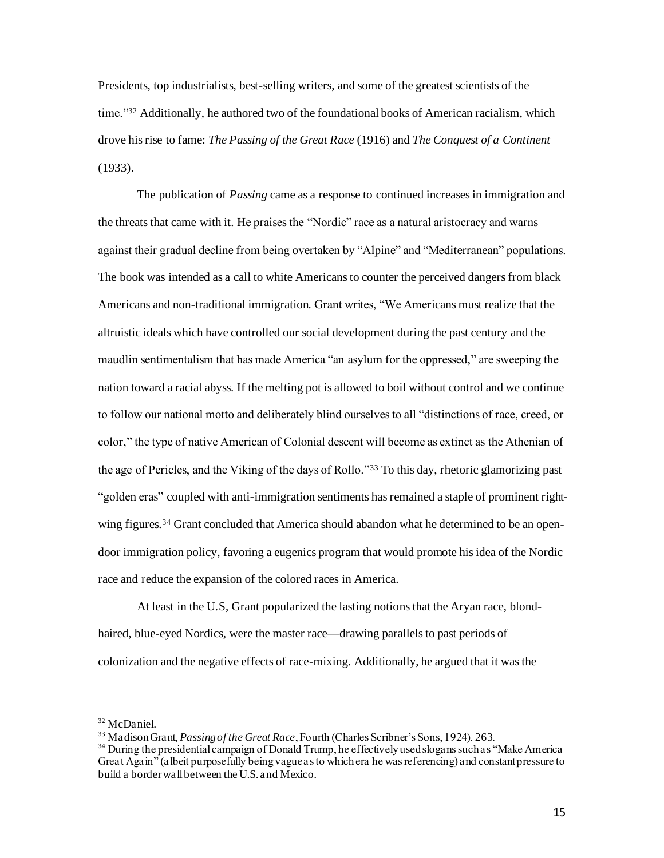Presidents, top industrialists, best-selling writers, and some of the greatest scientists of the time."<sup>32</sup> Additionally, he authored two of the foundational books of American racialism, which drove his rise to fame: *The Passing of the Great Race* (1916) and *The Conquest of a Continent*  (1933).

The publication of *Passing* came as a response to continued increases in immigration and the threats that came with it. He praises the "Nordic" race as a natural aristocracy and warns against their gradual decline from being overtaken by "Alpine" and "Mediterranean" populations. The book was intended as a call to white Americans to counter the perceived dangers from black Americans and non-traditional immigration. Grant writes, "We Americans must realize that the altruistic ideals which have controlled our social development during the past century and the maudlin sentimentalism that has made America "an asylum for the oppressed," are sweeping the nation toward a racial abyss. If the melting pot is allowed to boil without control and we continue to follow our national motto and deliberately blind ourselves to all "distinctions of race, creed, or color," the type of native American of Colonial descent will become as extinct as the Athenian of the age of Pericles, and the Viking of the days of Rollo."<sup>33</sup> To this day, rhetoric glamorizing past "golden eras" coupled with anti-immigration sentiments has remained a staple of prominent rightwing figures.<sup>34</sup> Grant concluded that America should abandon what he determined to be an opendoor immigration policy, favoring a eugenics program that would promote his idea of the Nordic race and reduce the expansion of the colored races in America.

At least in the U.S, Grant popularized the lasting notions that the Aryan race, blondhaired, blue-eyed Nordics, were the master race—drawing parallels to past periods of colonization and the negative effects of race-mixing. Additionally, he argued that it was the

<sup>32</sup> McDaniel.

<sup>33</sup> Madison Grant, *Passing of the Great Race*, Fourth (Charles Scribner's Sons, 1924). 263.

<sup>&</sup>lt;sup>34</sup> During the presidential campaign of Donald Trump, he effectively used slogans such as "Make America" Great Again" (albeit purposefully being vague as to which era he was referencing) and constant pressure to build a border wall between the U.S. and Mexico.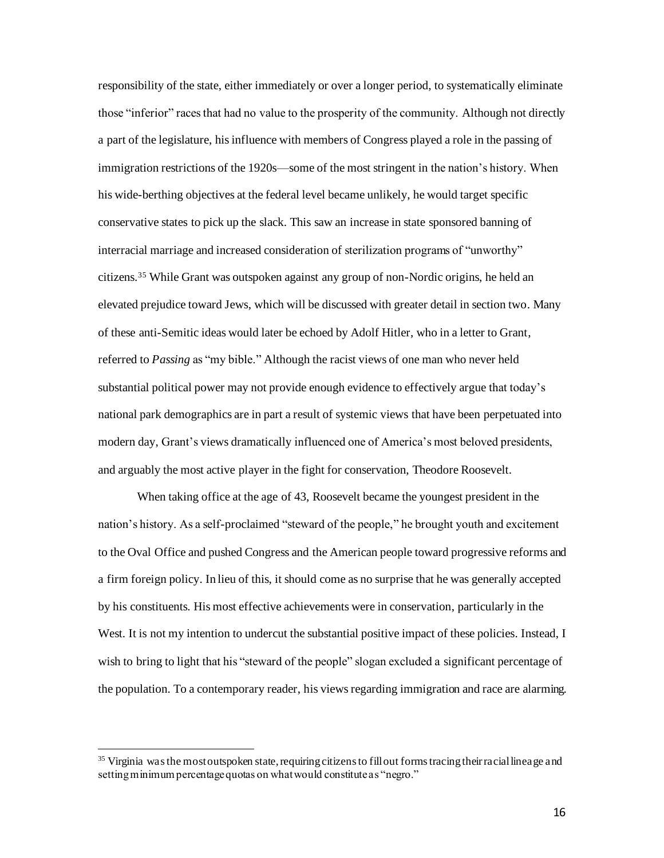responsibility of the state, either immediately or over a longer period, to systematically eliminate those "inferior" races that had no value to the prosperity of the community. Although not directly a part of the legislature, his influence with members of Congress played a role in the passing of immigration restrictions of the 1920s—some of the most stringent in the nation's history. When his wide-berthing objectives at the federal level became unlikely, he would target specific conservative states to pick up the slack. This saw an increase in state sponsored banning of interracial marriage and increased consideration of sterilization programs of "unworthy" citizens.<sup>35</sup> While Grant was outspoken against any group of non-Nordic origins, he held an elevated prejudice toward Jews, which will be discussed with greater detail in section two. Many of these anti-Semitic ideas would later be echoed by Adolf Hitler, who in a letter to Grant, referred to *Passing* as "my bible." Although the racist views of one man who never held substantial political power may not provide enough evidence to effectively argue that today's national park demographics are in part a result of systemic views that have been perpetuated into modern day, Grant's views dramatically influenced one of America's most beloved presidents, and arguably the most active player in the fight for conservation, Theodore Roosevelt.

When taking office at the age of 43, Roosevelt became the youngest president in the nation's history. As a self-proclaimed "steward of the people," he brought youth and excitement to the Oval Office and pushed Congress and the American people toward progressive reforms and a firm foreign policy. In lieu of this, it should come as no surprise that he was generally accepted by his constituents. His most effective achievements were in conservation, particularly in the West. It is not my intention to undercut the substantial positive impact of these policies. Instead, I wish to bring to light that his "steward of the people" slogan excluded a significant percentage of the population. To a contemporary reader, his views regarding immigration and race are alarming.

<sup>&</sup>lt;sup>35</sup> Virginia was the most outspoken state, requiring citizens to fill out forms tracing their racial lineage and setting minimum percentage quotas on what would constitute as "negro."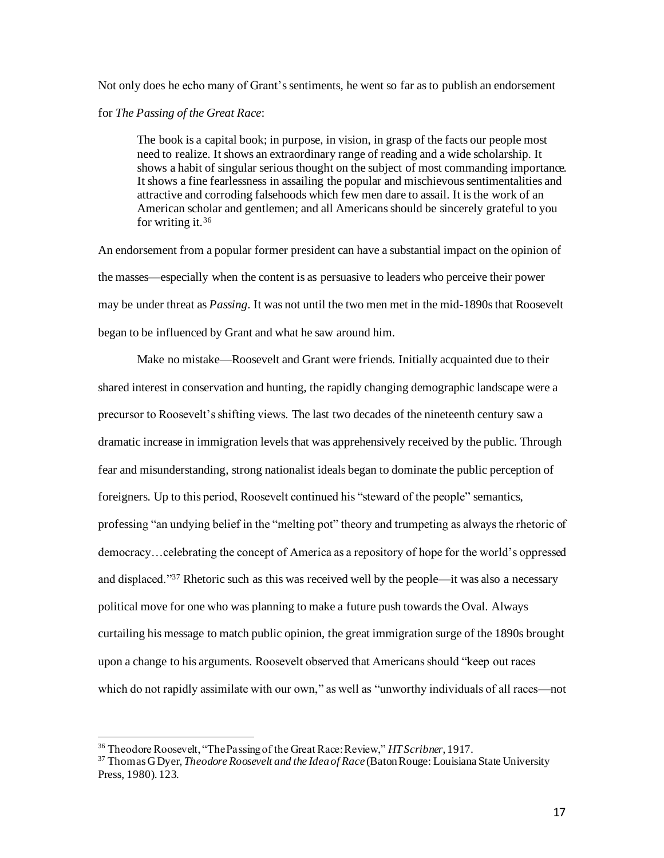Not only does he echo many of Grant's sentiments, he went so far as to publish an endorsement

# for *The Passing of the Great Race*:

The book is a capital book; in purpose, in vision, in grasp of the facts our people most need to realize. It shows an extraordinary range of reading and a wide scholarship. It shows a habit of singular serious thought on the subject of most commanding importance. It shows a fine fearlessness in assailing the popular and mischievous sentimentalities and attractive and corroding falsehoods which few men dare to assail. It is the work of an American scholar and gentlemen; and all Americans should be sincerely grateful to you for writing it.<sup>36</sup>

An endorsement from a popular former president can have a substantial impact on the opinion of the masses—especially when the content is as persuasive to leaders who perceive their power may be under threat as *Passing*. It was not until the two men met in the mid-1890s that Roosevelt began to be influenced by Grant and what he saw around him.

Make no mistake—Roosevelt and Grant were friends. Initially acquainted due to their shared interest in conservation and hunting, the rapidly changing demographic landscape were a precursor to Roosevelt's shifting views. The last two decades of the nineteenth century saw a dramatic increase in immigration levels that was apprehensively received by the public. Through fear and misunderstanding, strong nationalist ideals began to dominate the public perception of foreigners. Up to this period, Roosevelt continued his "steward of the people" semantics, professing "an undying belief in the "melting pot" theory and trumpeting as always the rhetoric of democracy…celebrating the concept of America as a repository of hope for the world's oppressed and displaced."<sup>37</sup> Rhetoric such as this was received well by the people—it was also a necessary political move for one who was planning to make a future push towards the Oval. Always curtailing his message to match public opinion, the great immigration surge of the 1890s brought upon a change to his arguments. Roosevelt observed that Americans should "keep out races which do not rapidly assimilate with our own," as well as "unworthy individuals of all races—not

<sup>36</sup> Theodore Roosevelt, "The Passing of the Great Race: Review," *HT Scribner*, 1917.

<sup>37</sup> Thomas G Dyer, *Theodore Roosevelt and the Idea of Race* (Baton Rouge: Louisiana State University Press, 1980). 123.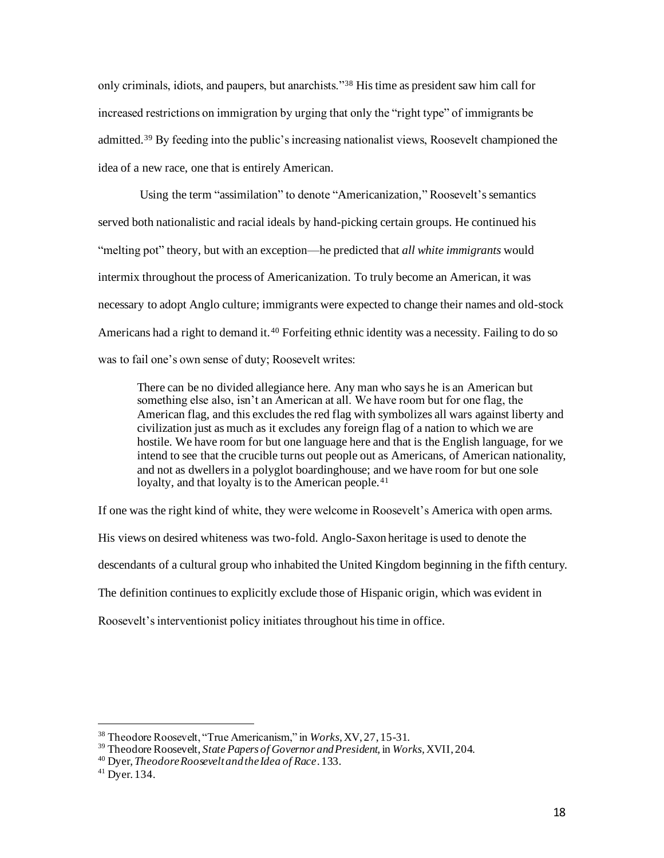only criminals, idiots, and paupers, but anarchists."<sup>38</sup> His time as president saw him call for increased restrictions on immigration by urging that only the "right type" of immigrants be admitted.<sup>39</sup> By feeding into the public's increasing nationalist views, Roosevelt championed the idea of a new race, one that is entirely American.

Using the term "assimilation" to denote "Americanization," Roosevelt's semantics served both nationalistic and racial ideals by hand-picking certain groups. He continued his "melting pot" theory, but with an exception—he predicted that *all white immigrants* would intermix throughout the process of Americanization. To truly become an American, it was necessary to adopt Anglo culture; immigrants were expected to change their names and old-stock Americans had a right to demand it.<sup>40</sup> Forfeiting ethnic identity was a necessity. Failing to do so was to fail one's own sense of duty; Roosevelt writes:

There can be no divided allegiance here. Any man who says he is an American but something else also, isn't an American at all. We have room but for one flag, the American flag, and this excludes the red flag with symbolizes all wars against liberty and civilization just as much as it excludes any foreign flag of a nation to which we are hostile. We have room for but one language here and that is the English language, for we intend to see that the crucible turns out people out as Americans, of American nationality, and not as dwellers in a polyglot boardinghouse; and we have room for but one sole loyalty, and that loyalty is to the American people.<sup>41</sup>

If one was the right kind of white, they were welcome in Roosevelt's America with open arms.

His views on desired whiteness was two-fold. Anglo-Saxon heritage is used to denote the

descendants of a cultural group who inhabited the United Kingdom beginning in the fifth century.

The definition continues to explicitly exclude those of Hispanic origin, which was evident in

Roosevelt's interventionist policy initiates throughout his time in office.

<sup>38</sup> Theodore Roosevelt, "True Americanism," in *Works,* XV, 27, 15-31.

<sup>39</sup> Theodore Roosevelt, *State Papers of Governor and President,* in *Works,* XVII, 204.

<sup>40</sup> Dyer, *Theodore Roosevelt and the Idea of Race*. 133.

<sup>41</sup> Dyer. 134.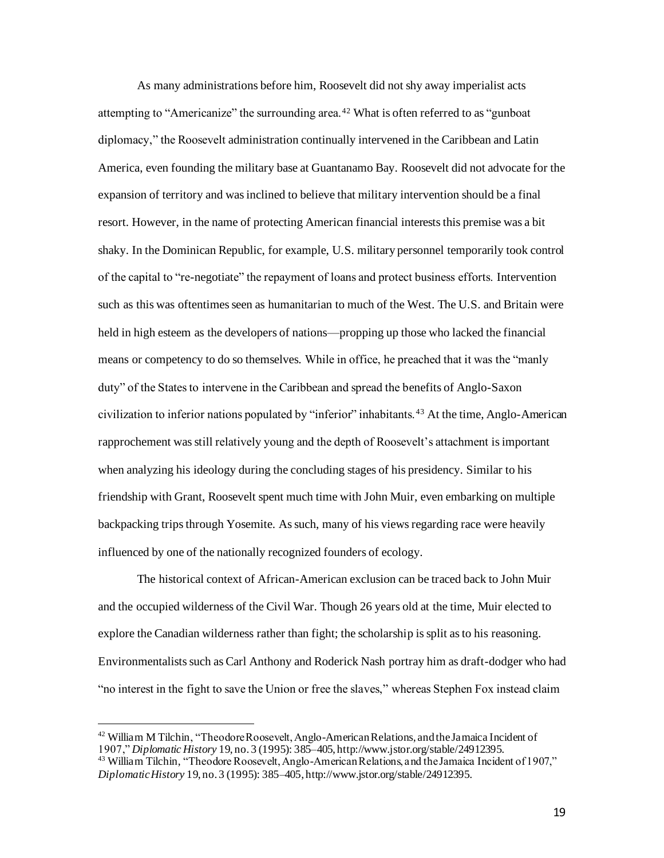As many administrations before him, Roosevelt did not shy away imperialist acts attempting to "Americanize" the surrounding area.<sup>42</sup> What is often referred to as "gunboat diplomacy," the Roosevelt administration continually intervened in the Caribbean and Latin America, even founding the military base at Guantanamo Bay. Roosevelt did not advocate for the expansion of territory and was inclined to believe that military intervention should be a final resort. However, in the name of protecting American financial interests this premise was a bit shaky. In the Dominican Republic, for example, U.S. military personnel temporarily took control of the capital to "re-negotiate" the repayment of loans and protect business efforts. Intervention such as this was oftentimes seen as humanitarian to much of the West. The U.S. and Britain were held in high esteem as the developers of nations—propping up those who lacked the financial means or competency to do so themselves. While in office, he preached that it was the "manly duty" of the States to intervene in the Caribbean and spread the benefits of Anglo-Saxon civilization to inferior nations populated by "inferior" inhabitants. <sup>43</sup> At the time, Anglo-American rapprochement was still relatively young and the depth of Roosevelt's attachment isimportant when analyzing his ideology during the concluding stages of his presidency. Similar to his friendship with Grant, Roosevelt spent much time with John Muir, even embarking on multiple backpacking trips through Yosemite. As such, many of his views regarding race were heavily influenced by one of the nationally recognized founders of ecology.

The historical context of African-American exclusion can be traced back to John Muir and the occupied wilderness of the Civil War. Though 26 years old at the time, Muir elected to explore the Canadian wilderness rather than fight; the scholarship is split as to his reasoning. Environmentalists such as Carl Anthony and Roderick Nash portray him as draft-dodger who had "no interest in the fight to save the Union or free the slaves," whereas Stephen Fox instead claim

 $42$  William M Tilchin, "Theodore Roosevelt, Anglo-American Relations, and the Jamaica Incident of 1907," *Diplomatic History* 19, no. 3 (1995): 385–405, http://www.jstor.org/stable/24912395.

<sup>&</sup>lt;sup>43</sup> William Tilchin, "Theodore Roosevelt, Anglo-American Relations, and the Jamaica Incident of 1907," *Diplomatic History* 19, no. 3 (1995): 385–405, http://www.jstor.org/stable/24912395.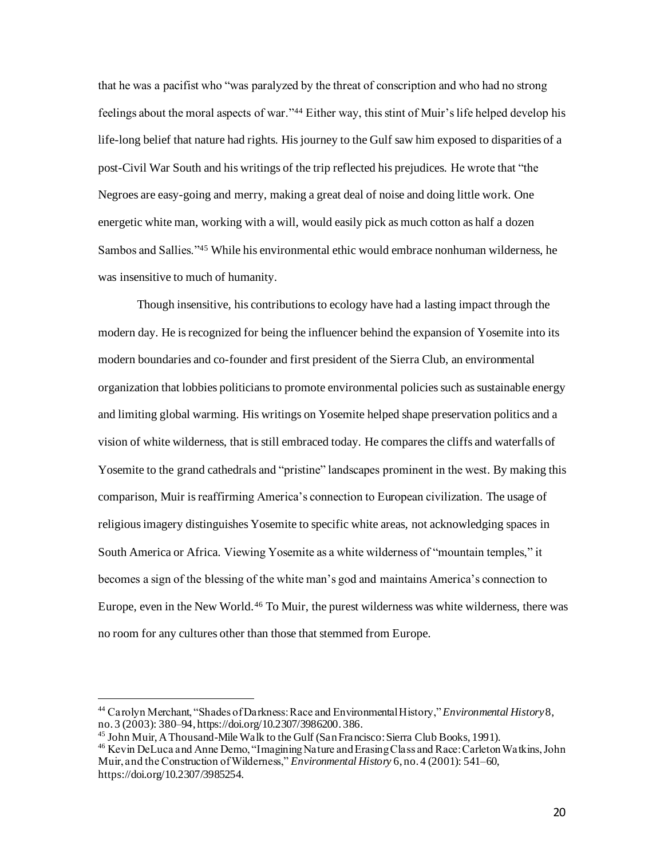that he was a pacifist who "was paralyzed by the threat of conscription and who had no strong feelings about the moral aspects of war."<sup>44</sup> Either way, this stint of Muir's life helped develop his life-long belief that nature had rights. His journey to the Gulf saw him exposed to disparities of a post-Civil War South and his writings of the trip reflected his prejudices. He wrote that "the Negroes are easy-going and merry, making a great deal of noise and doing little work. One energetic white man, working with a will, would easily pick as much cotton as half a dozen Sambos and Sallies."<sup>45</sup> While his environmental ethic would embrace nonhuman wilderness, he was insensitive to much of humanity.

Though insensitive, his contributions to ecology have had a lasting impact through the modern day. He is recognized for being the influencer behind the expansion of Yosemite into its modern boundaries and co-founder and first president of the Sierra Club, an environmental organization that lobbies politicians to promote environmental policies such as sustainable energy and limiting global warming. His writings on Yosemite helped shape preservation politics and a vision of white wilderness, that is still embraced today. He compares the cliffs and waterfalls of Yosemite to the grand cathedrals and "pristine" landscapes prominent in the west. By making this comparison, Muir is reaffirming America's connection to European civilization. The usage of religious imagery distinguishes Yosemite to specific white areas, not acknowledging spaces in South America or Africa. Viewing Yosemite as a white wilderness of "mountain temples," it becomes a sign of the blessing of the white man's god and maintains America's connection to Europe, even in the New World.<sup>46</sup> To Muir, the purest wilderness was white wilderness, there was no room for any cultures other than those that stemmed from Europe.

<sup>44</sup> Carolyn Merchant, "Shades of Darkness: Race and Environmental History," *Environmental History*8, no. 3 (2003): 380–94, https://doi.org/10.2307/3986200. 386.

<sup>45</sup> John Muir, A Thousand-Mile Walk to the Gulf (San Francisco: Sierra Club Books, 1991).

<sup>46</sup> Kevin DeLuca and Anne Demo, "Imagining Nature and Erasing Class and Race: Carleton Watkins, John Muir, and the Construction of Wilderness," *Environmental History* 6, no. 4 (2001): 541–60, https://doi.org/10.2307/3985254.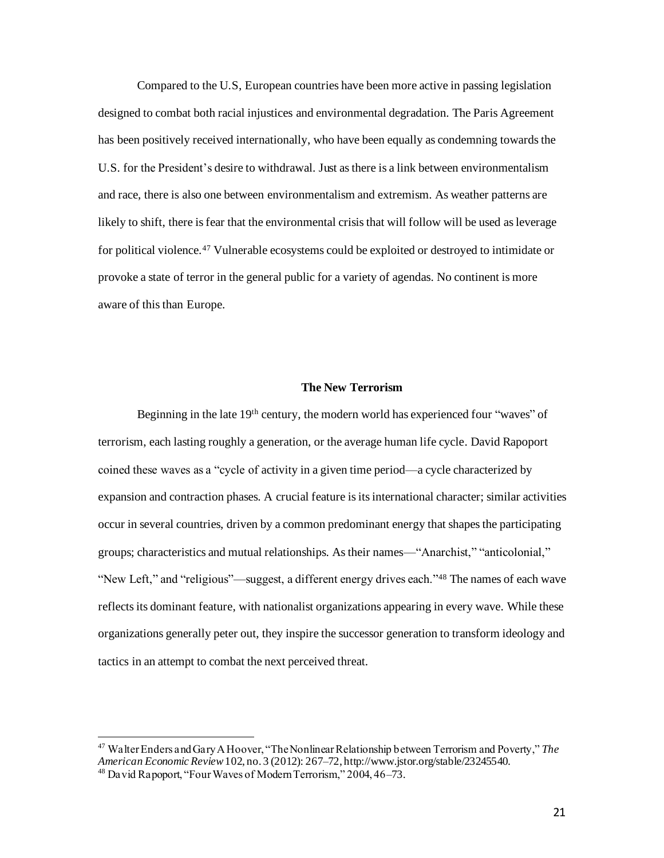Compared to the U.S, European countries have been more active in passing legislation designed to combat both racial injustices and environmental degradation. The Paris Agreement has been positively received internationally, who have been equally as condemning towards the U.S. for the President's desire to withdrawal. Just as there is a link between environmentalism and race, there is also one between environmentalism and extremism. As weather patterns are likely to shift, there is fear that the environmental crisis that will follow will be used as leverage for political violence.<sup>47</sup> Vulnerable ecosystems could be exploited or destroyed to intimidate or provoke a state of terror in the general public for a variety of agendas. No continent is more aware of this than Europe.

## **The New Terrorism**

Beginning in the late 19th century, the modern world has experienced four "waves" of terrorism, each lasting roughly a generation, or the average human life cycle. David Rapoport coined these waves as a "cycle of activity in a given time period—a cycle characterized by expansion and contraction phases. A crucial feature is its international character; similar activities occur in several countries, driven by a common predominant energy that shapes the participating groups; characteristics and mutual relationships. As their names—"Anarchist," "anticolonial," "New Left," and "religious"—suggest, a different energy drives each."<sup>48</sup> The names of each wave reflects its dominant feature, with nationalist organizations appearing in every wave. While these organizations generally peter out, they inspire the successor generation to transform ideology and tactics in an attempt to combat the next perceived threat.

<sup>47</sup> Walter Enders and Gary A Hoover, "The Nonlinear Relationship between Terrorism and Poverty," *The American Economic Review*102, no. 3 (2012): 267–72, http://www.jstor.org/stable/23245540.

<sup>48</sup> David Rapoport, "Four Waves of Modern Terrorism," 2004, 46–73.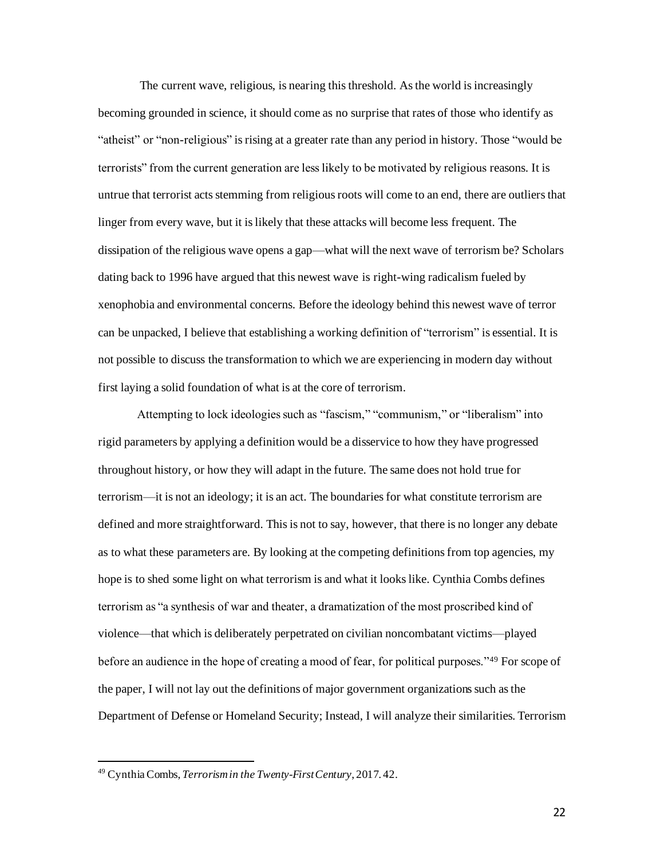The current wave, religious, is nearing this threshold. As the world is increasingly becoming grounded in science, it should come as no surprise that rates of those who identify as "atheist" or "non-religious" is rising at a greater rate than any period in history. Those "would be terrorists" from the current generation are less likely to be motivated by religious reasons. It is untrue that terrorist acts stemming from religious roots will come to an end, there are outliers that linger from every wave, but it is likely that these attacks will become less frequent. The dissipation of the religious wave opens a gap—what will the next wave of terrorism be? Scholars dating back to 1996 have argued that this newest wave is right-wing radicalism fueled by xenophobia and environmental concerns. Before the ideology behind this newest wave of terror can be unpacked, I believe that establishing a working definition of "terrorism" is essential. It is not possible to discuss the transformation to which we are experiencing in modern day without first laying a solid foundation of what is at the core of terrorism.

Attempting to lock ideologies such as "fascism," "communism," or "liberalism" into rigid parameters by applying a definition would be a disservice to how they have progressed throughout history, or how they will adapt in the future. The same does not hold true for terrorism—it is not an ideology; it is an act. The boundaries for what constitute terrorism are defined and more straightforward. This is not to say, however, that there is no longer any debate as to what these parameters are. By looking at the competing definitions from top agencies, my hope is to shed some light on what terrorism is and what it looks like. Cynthia Combs defines terrorism as "a synthesis of war and theater, a dramatization of the most proscribed kind of violence—that which is deliberately perpetrated on civilian noncombatant victims—played before an audience in the hope of creating a mood of fear, for political purposes."<sup>49</sup> For scope of the paper, I will not lay out the definitions of major government organizations such as the Department of Defense or Homeland Security; Instead, I will analyze their similarities. Terrorism

<sup>49</sup> Cynthia Combs, *Terrorism in the Twenty-First Century*, 2017. 42.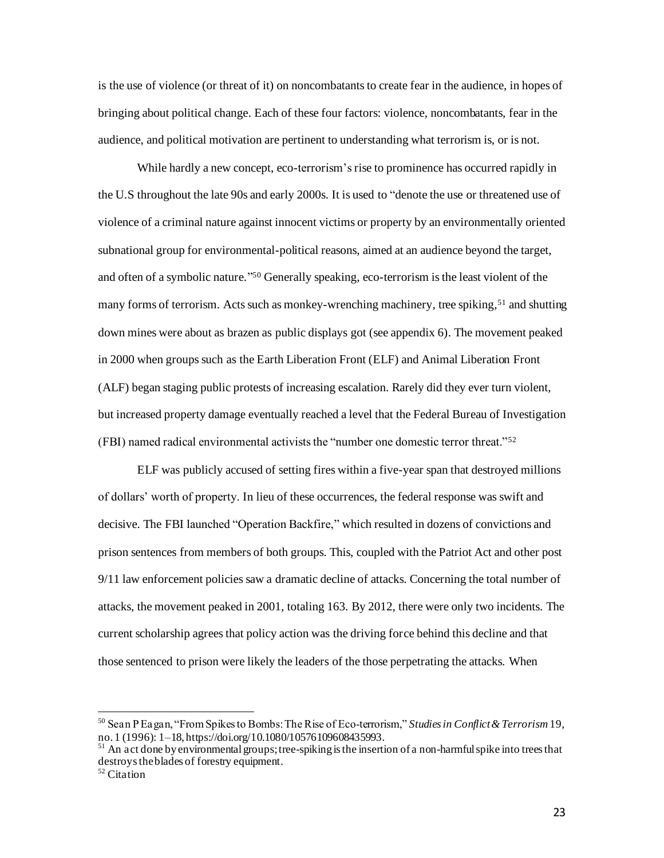is the use of violence (or threat of it) on noncombatants to create fear in the audience, in hopes of bringing about political change. Each of these four factors: violence, noncombatants, fear in the audience, and political motivation are pertinent to understanding what terrorism is, or is not.

While hardly a new concept, eco-terrorism's rise to prominence has occurred rapidly in the U.S throughout the late 90s and early 2000s. It is used to "denote the use or threatened use of violence of a criminal nature against innocent victims or property by an environmentally oriented subnational group for environmental-political reasons, aimed at an audience beyond the target, and often of a symbolic nature." <sup>50</sup> Generally speaking, eco-terrorism is the least violent of the many forms of terrorism. Acts such as monkey-wrenching machinery, tree spiking,<sup>51</sup> and shutting down mines were about as brazen as public displays got (see appendix 6). The movement peaked in 2000 when groups such as the Earth Liberation Front (ELF) and Animal Liberation Front (ALF) began staging public protests of increasing escalation. Rarely did they ever turn violent, but increased property damage eventually reached a level that the Federal Bureau of Investigation (FBI) named radical environmental activists the "number one domestic terror threat."<sup>52</sup>

ELF was publicly accused of setting fires within a five-year span that destroyed millions of dollars' worth of property. In lieu of these occurrences, the federal response was swift and decisive. The FBI launched "Operation Backfire," which resulted in dozens of convictions and prison sentences from members of both groups. This, coupled with the Patriot Act and other post 9/11 law enforcement policies saw a dramatic decline of attacks. Concerning the total number of attacks, the movement peaked in 2001, totaling 163. By 2012, there were only two incidents. The current scholarship agrees that policy action was the driving force behind this decline and that those sentenced to prison were likely the leaders of the those perpetrating the attacks. When

<sup>50</sup> Sean P Eagan, "From Spikes to Bombs: The Rise of Eco‐terrorism," *Studies in Conflict & Terrorism* 19, no. 1 (1996): 1–18, https://doi.org/10.1080/10576109608435993.

 $51$  An act done by environmental groups; tree-spiking is the insertion of a non-harmful spike into trees that destroys the blades of forestry equipment.

<sup>52</sup> Citation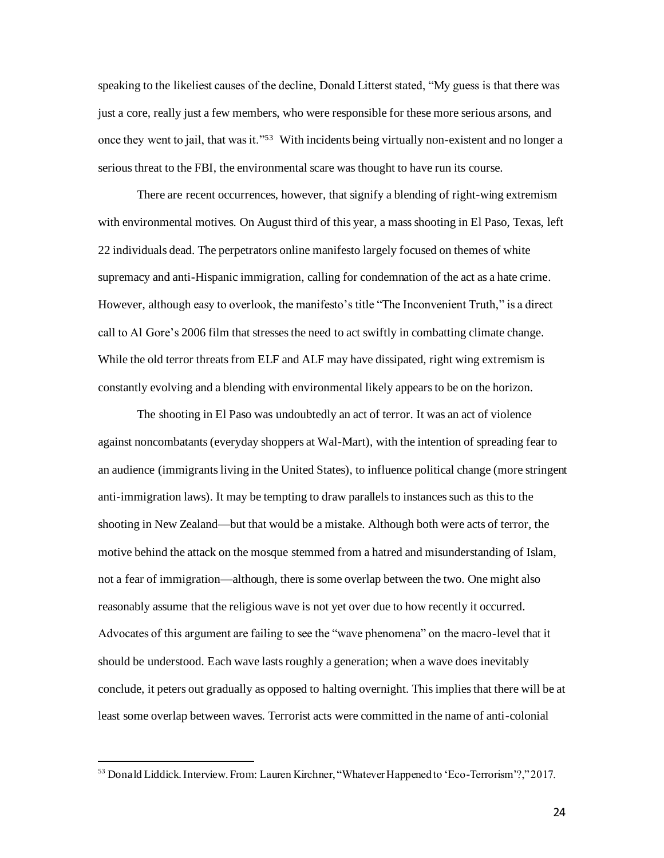speaking to the likeliest causes of the decline, Donald Litterst stated, "My guess is that there was just a core, really just a few members, who were responsible for these more serious arsons, and once they went to jail, that was it."<sup>53</sup> With incidents being virtually non-existent and no longer a serious threat to the FBI, the environmental scare was thought to have run its course.

There are recent occurrences, however, that signify a blending of right-wing extremism with environmental motives. On August third of this year, a mass shooting in El Paso, Texas, left 22 individuals dead. The perpetrators online manifesto largely focused on themes of white supremacy and anti-Hispanic immigration, calling for condemnation of the act as a hate crime. However, although easy to overlook, the manifesto's title "The Inconvenient Truth," is a direct call to Al Gore's 2006 film that stressesthe need to act swiftly in combatting climate change. While the old terror threats from ELF and ALF may have dissipated, right wing extremism is constantly evolving and a blending with environmental likely appears to be on the horizon.

The shooting in El Paso was undoubtedly an act of terror. It was an act of violence against noncombatants (everyday shoppers at Wal-Mart), with the intention of spreading fear to an audience (immigrants living in the United States), to influence political change (more stringent anti-immigration laws). It may be tempting to draw parallels to instances such as this to the shooting in New Zealand—but that would be a mistake. Although both were acts of terror, the motive behind the attack on the mosque stemmed from a hatred and misunderstanding of Islam, not a fear of immigration—although, there is some overlap between the two. One might also reasonably assume that the religious wave is not yet over due to how recently it occurred. Advocates of this argument are failing to see the "wave phenomena" on the macro-level that it should be understood. Each wave lasts roughly a generation; when a wave does inevitably conclude, it peters out gradually as opposed to halting overnight. This implies that there will be at least some overlap between waves. Terrorist acts were committed in the name of anti-colonial

24

<sup>53</sup> Donald Liddick. Interview. From: Lauren Kirchner, "Whatever Happened to 'Eco-Terrorism'?," 2017.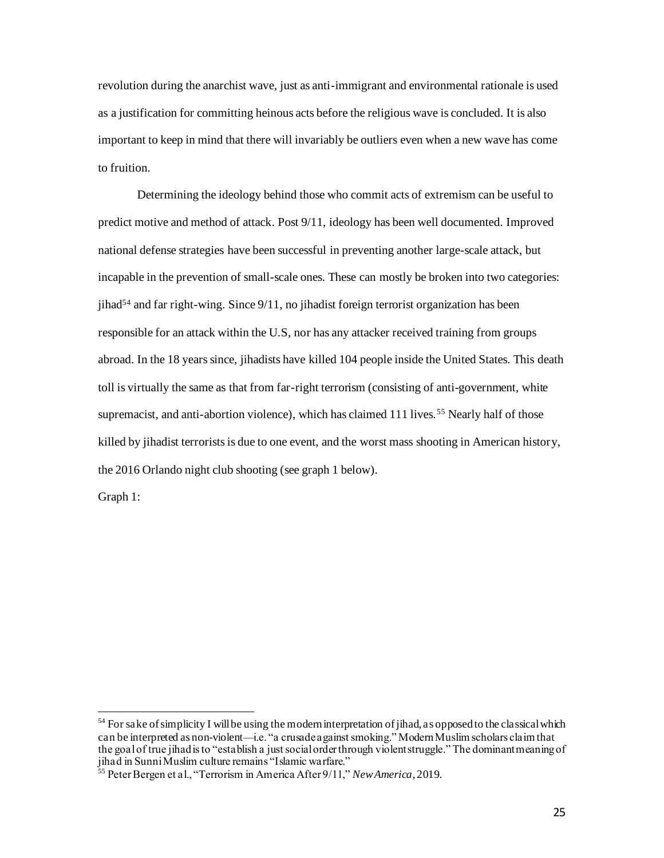revolution during the anarchist wave, just as anti-immigrant and environmental rationale is used as a justification for committing heinous acts before the religious wave is concluded. It is also important to keep in mind that there will invariably be outliers even when a new wave has come to fruition.

Determining the ideology behind those who commit acts of extremism can be useful to predict motive and method of attack. Post 9/11, ideology has been well documented. Improved national defense strategies have been successful in preventing another large-scale attack, but incapable in the prevention of small-scale ones. These can mostly be broken into two categories:  $j$ ihad<sup>54</sup> and far right-wing. Since  $9/11$ , no jihadist foreign terrorist organization has been responsible for an attack within the U.S, nor has any attacker received training from groups abroad. In the 18 years since, jihadists have killed 104 people inside the United States. This death toll is virtually the same as that from far-right terrorism (consisting of anti-government, white supremacist, and anti-abortion violence), which has claimed 111 lives.<sup>55</sup> Nearly half of those killed by jihadist terrorists is due to one event, and the worst mass shooting in American history, the 2016 Orlando night club shooting (see graph 1 below).

Graph 1:

<sup>&</sup>lt;sup>54</sup> For sake of simplicity I will be using the modern interpretation of jihad, as opposed to the classical which can be interpreted as non-violent—i.e. "a crusade against smoking." Modern Muslim scholars claim that the goal of true jihad is to "establish a just social order through violent struggle." The dominant meaning of jihad in Sunni Muslim culture remains "Islamic warfare."

<sup>55</sup> Peter Bergen et al., "Terrorism in America After 9/11," *New America*, 2019.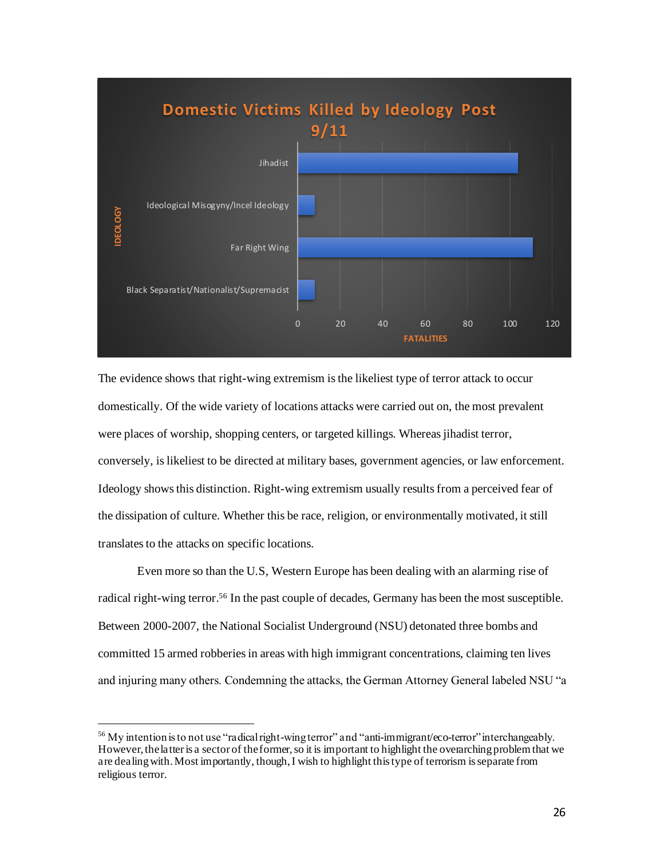

The evidence shows that right-wing extremism is the likeliest type of terror attack to occur domestically. Of the wide variety of locations attacks were carried out on, the most prevalent were places of worship, shopping centers, or targeted killings. Whereas jihadist terror, conversely, is likeliest to be directed at military bases, government agencies, or law enforcement. Ideology shows this distinction. Right-wing extremism usually results from a perceived fear of the dissipation of culture. Whether this be race, religion, or environmentally motivated, it still translates to the attacks on specific locations.

Even more so than the U.S, Western Europe has been dealing with an alarming rise of radical right-wing terror.<sup>56</sup> In the past couple of decades, Germany has been the most susceptible. Between 2000-2007, the National Socialist Underground (NSU) detonated three bombs and committed 15 armed robberies in areas with high immigrant concentrations, claiming ten lives and injuring many others. Condemning the attacks, the German Attorney General labeled NSU "a

<sup>&</sup>lt;sup>56</sup> My intention is to not use "radical right-wing terror" and "anti-immigrant/eco-terror" interchangeably. However, the latter is a sector of the former, so it is important to highlight the overarching problem that we are dealing with. Most importantly, though, I wish to highlight this type of terrorism is separate from religious terror.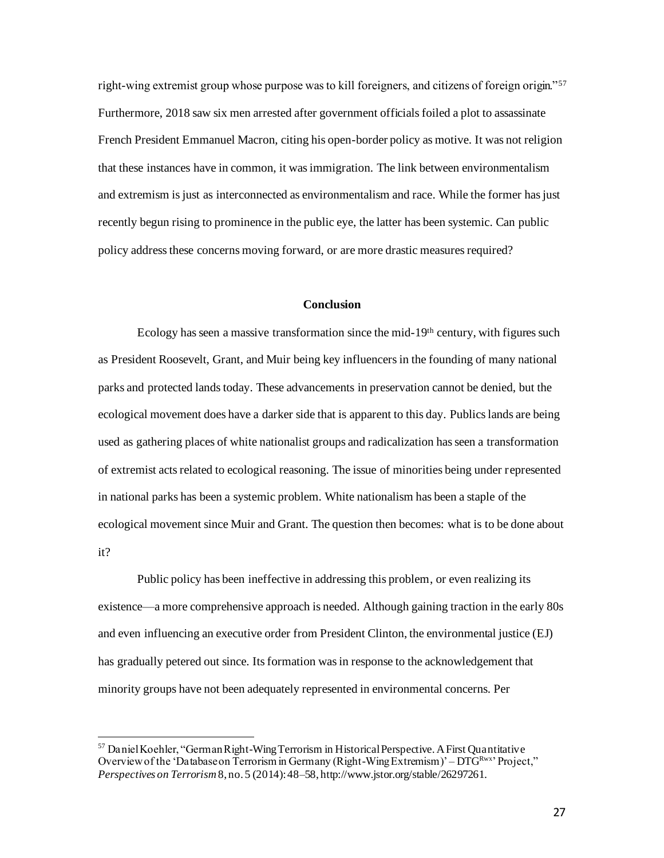right-wing extremist group whose purpose was to kill foreigners, and citizens of foreign origin."<sup>57</sup> Furthermore, 2018 saw six men arrested after government officials foiled a plot to assassinate French President Emmanuel Macron, citing his open-border policy as motive. It was not religion that these instances have in common, it was immigration. The link between environmentalism and extremism is just as interconnected as environmentalism and race. While the former has just recently begun rising to prominence in the public eye, the latter has been systemic. Can public policy address these concerns moving forward, or are more drastic measures required?

# **Conclusion**

Ecology has seen a massive transformation since the mid-19th century, with figures such as President Roosevelt, Grant, and Muir being key influencers in the founding of many national parks and protected lands today. These advancements in preservation cannot be denied, but the ecological movement does have a darker side that is apparent to this day. Publics lands are being used as gathering places of white nationalist groups and radicalization has seen a transformation of extremist acts related to ecological reasoning. The issue of minorities being under represented in national parks has been a systemic problem. White nationalism has been a staple of the ecological movement since Muir and Grant. The question then becomes: what is to be done about it?

Public policy has been ineffective in addressing this problem, or even realizing its existence—a more comprehensive approach is needed. Although gaining traction in the early 80s and even influencing an executive order from President Clinton, the environmental justice (EJ) has gradually petered out since. Its formation was in response to the acknowledgement that minority groups have not been adequately represented in environmental concerns. Per

<sup>57</sup> Daniel Koehler, "German Right-Wing Terrorism in Historical Perspective. A First Quantitative Overview of the 'Database on Terrorism in Germany (Right-Wing Extremism)' – DTGRWX' Project," *Perspectives on Terrorism*8, no. 5 (2014): 48–58, http://www.jstor.org/stable/26297261.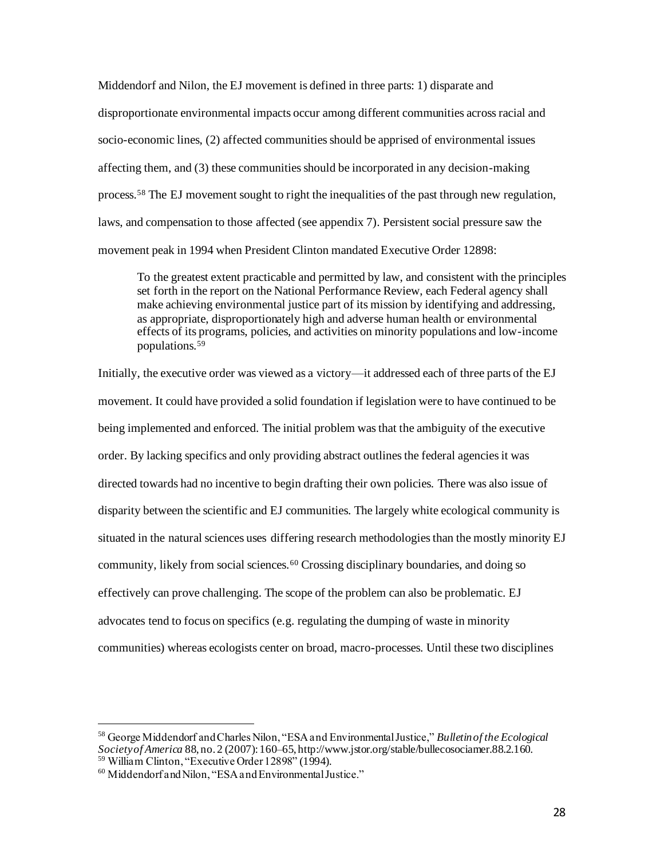Middendorf and Nilon, the EJ movement is defined in three parts: 1) disparate and disproportionate environmental impacts occur among different communities across racial and socio-economic lines, (2) affected communities should be apprised of environmental issues affecting them, and (3) these communities should be incorporated in any decision-making process.<sup>58</sup> The EJ movement sought to right the inequalities of the past through new regulation, laws, and compensation to those affected (see appendix 7). Persistent social pressure saw the movement peak in 1994 when President Clinton mandated Executive Order 12898:

To the greatest extent practicable and permitted by law, and consistent with the principles set forth in the report on the National Performance Review, each Federal agency shall make achieving environmental justice part of its mission by identifying and addressing, as appropriate, disproportionately high and adverse human health or environmental effects of its programs, policies, and activities on minority populations and low-income populations.<sup>59</sup>

Initially, the executive order was viewed as a victory—it addressed each of three parts of the EJ movement. It could have provided a solid foundation if legislation were to have continued to be being implemented and enforced. The initial problem was that the ambiguity of the executive order. By lacking specifics and only providing abstract outlines the federal agencies it was directed towards had no incentive to begin drafting their own policies. There was also issue of disparity between the scientific and EJ communities. The largely white ecological community is situated in the natural sciences uses differing research methodologies than the mostly minority EJ community, likely from social sciences.<sup>60</sup> Crossing disciplinary boundaries, and doing so effectively can prove challenging. The scope of the problem can also be problematic. EJ advocates tend to focus on specifics (e.g. regulating the dumping of waste in minority communities) whereas ecologists center on broad, macro-processes. Until these two disciplines

<sup>58</sup> George Middendorf and Charles Nilon, "ESA and Environmental Justice," *Bulletin of the Ecological Society of America* 88, no. 2 (2007): 160–65, http://www.jstor.org/stable/bullecosociamer.88.2.160. <sup>59</sup> William Clinton, "Executive Order 12898" (1994).

<sup>60</sup> Middendorf and Nilon, "ESA and Environmental Justice."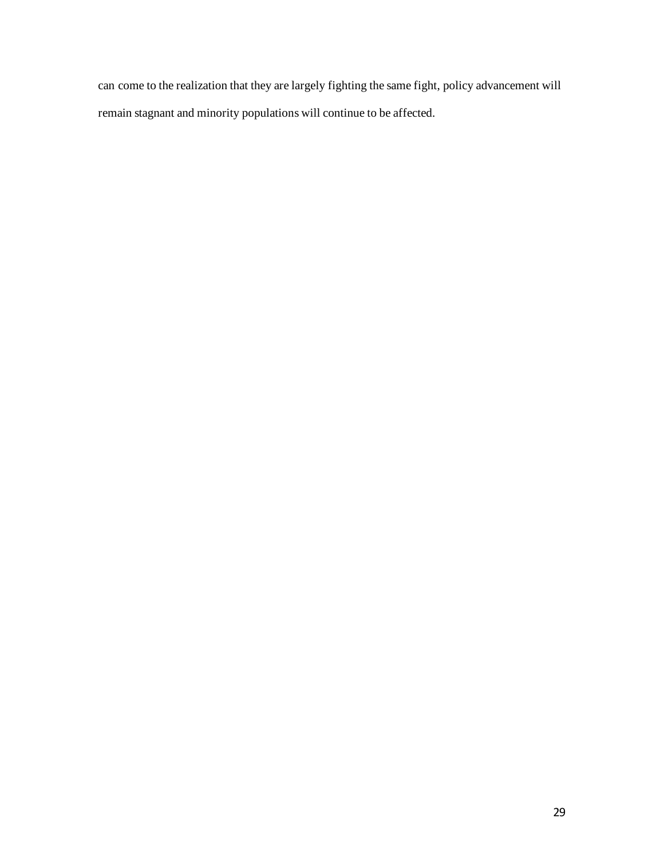can come to the realization that they are largely fighting the same fight, policy advancement will remain stagnant and minority populations will continue to be affected.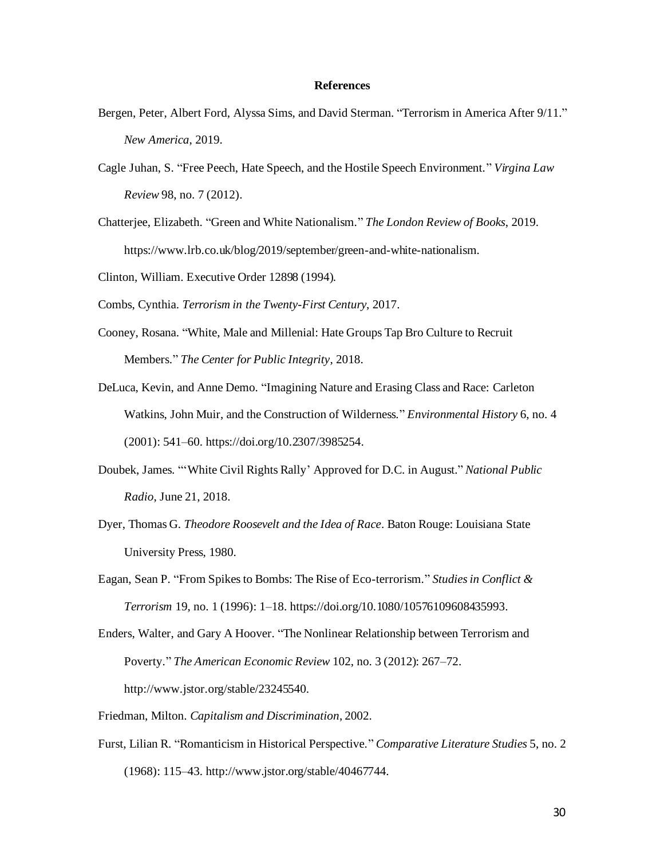### **References**

- Bergen, Peter, Albert Ford, Alyssa Sims, and David Sterman. "Terrorism in America After 9/11." *New America*, 2019.
- Cagle Juhan, S. "Free Peech, Hate Speech, and the Hostile Speech Environment." *Virgina Law Review* 98, no. 7 (2012).
- Chatterjee, Elizabeth. "Green and White Nationalism." *The London Review of Books*, 2019. https://www.lrb.co.uk/blog/2019/september/green-and-white-nationalism.
- Clinton, William. Executive Order 12898 (1994).
- Combs, Cynthia. *Terrorism in the Twenty-First Century*, 2017.
- Cooney, Rosana. "White, Male and Millenial: Hate Groups Tap Bro Culture to Recruit Members." *The Center for Public Integrity*, 2018.
- DeLuca, Kevin, and Anne Demo. "Imagining Nature and Erasing Class and Race: Carleton Watkins, John Muir, and the Construction of Wilderness." *Environmental History* 6, no. 4 (2001): 541–60. https://doi.org/10.2307/3985254.
- Doubek, James. "'White Civil Rights Rally' Approved for D.C. in August." *National Public Radio*, June 21, 2018.
- Dyer, Thomas G. *Theodore Roosevelt and the Idea of Race*. Baton Rouge: Louisiana State University Press, 1980.
- Eagan, Sean P. "From Spikes to Bombs: The Rise of Eco‐terrorism." *Studies in Conflict & Terrorism* 19, no. 1 (1996): 1–18. https://doi.org/10.1080/10576109608435993.
- Enders, Walter, and Gary A Hoover. "The Nonlinear Relationship between Terrorism and Poverty." *The American Economic Review* 102, no. 3 (2012): 267–72. http://www.jstor.org/stable/23245540.
- Friedman, Milton. *Capitalism and Discrimination*, 2002.
- Furst, Lilian R. "Romanticism in Historical Perspective." *Comparative Literature Studies* 5, no. 2 (1968): 115–43. http://www.jstor.org/stable/40467744.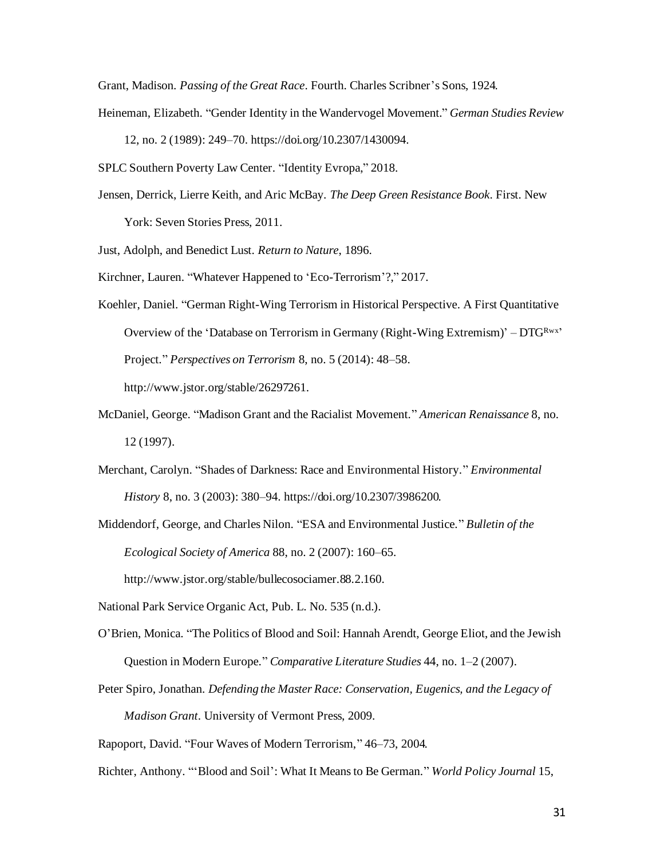Grant, Madison. *Passing of the Great Race*. Fourth. Charles Scribner's Sons, 1924.

Heineman, Elizabeth. "Gender Identity in the Wandervogel Movement." *German Studies Review*

12, no. 2 (1989): 249–70. https://doi.org/10.2307/1430094.

SPLC Southern Poverty Law Center. "Identity Evropa," 2018.

Jensen, Derrick, Lierre Keith, and Aric McBay. *The Deep Green Resistance Book*. First. New

York: Seven Stories Press, 2011.

Just, Adolph, and Benedict Lust. *Return to Nature*, 1896.

Kirchner, Lauren. "Whatever Happened to 'Eco-Terrorism'?," 2017.

Koehler, Daniel. "German Right-Wing Terrorism in Historical Perspective. A First Quantitative Overview of the 'Database on Terrorism in Germany (Right-Wing Extremism)'  $-DTG^{Rwx}$ ' Project." *Perspectives on Terrorism* 8, no. 5 (2014): 48–58. http://www.jstor.org/stable/26297261.

McDaniel, George. "Madison Grant and the Racialist Movement." *American Renaissance* 8, no. 12 (1997).

- Merchant, Carolyn. "Shades of Darkness: Race and Environmental History." *Environmental History* 8, no. 3 (2003): 380–94. https://doi.org/10.2307/3986200.
- Middendorf, George, and Charles Nilon. "ESA and Environmental Justice." *Bulletin of the Ecological Society of America* 88, no. 2 (2007): 160–65.

http://www.jstor.org/stable/bullecosociamer.88.2.160.

- National Park Service Organic Act, Pub. L. No. 535 (n.d.).
- O'Brien, Monica. "The Politics of Blood and Soil: Hannah Arendt, George Eliot, and the Jewish Question in Modern Europe." *Comparative Literature Studies* 44, no. 1–2 (2007).
- Peter Spiro, Jonathan. *Defending the Master Race: Conservation, Eugenics, and the Legacy of Madison Grant*. University of Vermont Press, 2009.

Rapoport, David. "Four Waves of Modern Terrorism," 46–73, 2004.

Richter, Anthony. "'Blood and Soil': What It Means to Be German." *World Policy Journal* 15,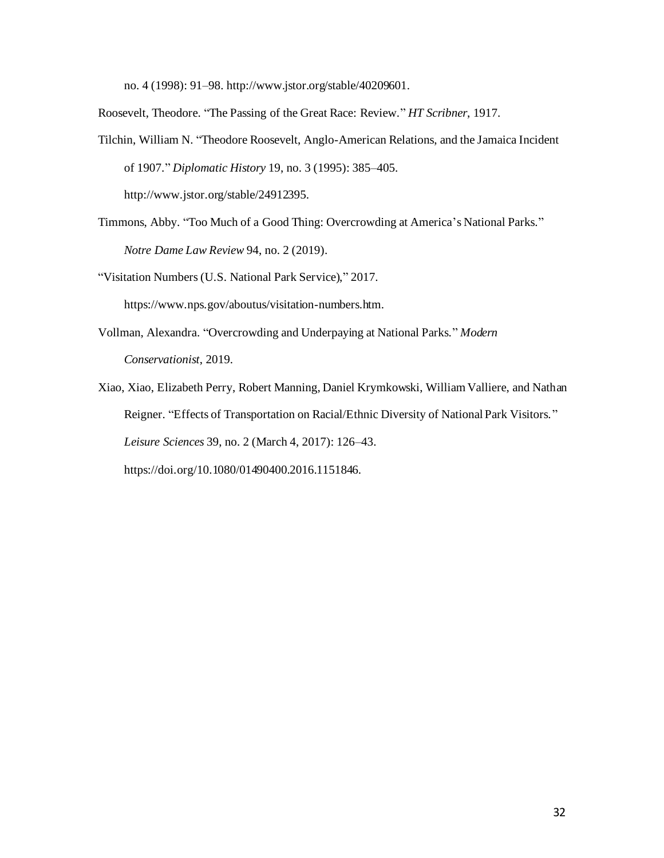no. 4 (1998): 91–98. http://www.jstor.org/stable/40209601.

Roosevelt, Theodore. "The Passing of the Great Race: Review." *HT Scribner*, 1917.

- Tilchin, William N. "Theodore Roosevelt, Anglo-American Relations, and the Jamaica Incident of 1907." *Diplomatic History* 19, no. 3 (1995): 385–405. http://www.jstor.org/stable/24912395.
- Timmons, Abby. "Too Much of a Good Thing: Overcrowding at America's National Parks." *Notre Dame Law Review* 94, no. 2 (2019).

"Visitation Numbers (U.S. National Park Service)," 2017. https://www.nps.gov/aboutus/visitation-numbers.htm.

Vollman, Alexandra. "Overcrowding and Underpaying at National Parks." *Modern Conservationist*, 2019.

Xiao, Xiao, Elizabeth Perry, Robert Manning, Daniel Krymkowski, William Valliere, and Nathan Reigner. "Effects of Transportation on Racial/Ethnic Diversity of National Park Visitors." *Leisure Sciences* 39, no. 2 (March 4, 2017): 126–43.

https://doi.org/10.1080/01490400.2016.1151846.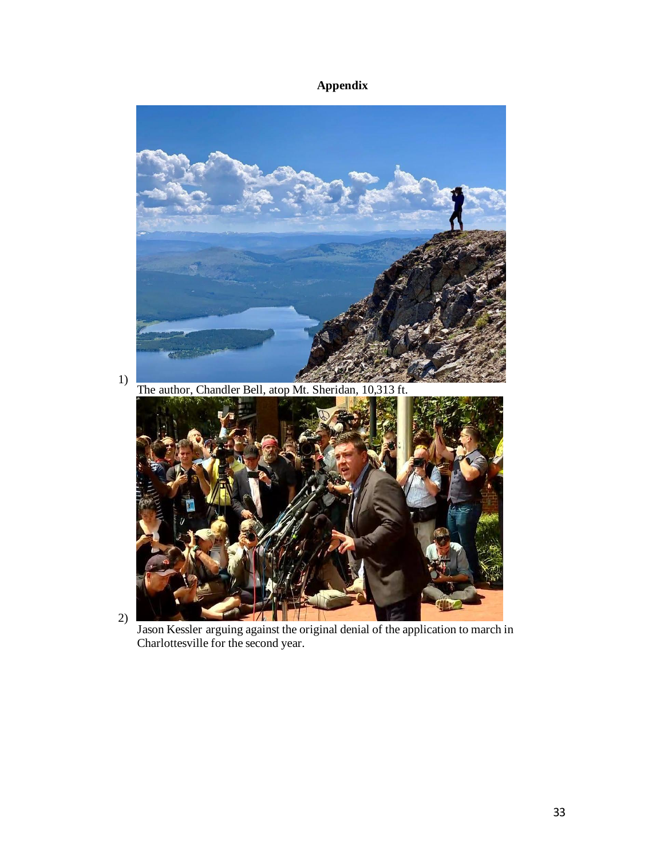# **Appendix**



2)

Jason Kessler arguing against the original denial of the application to march in Charlottesville for the second year.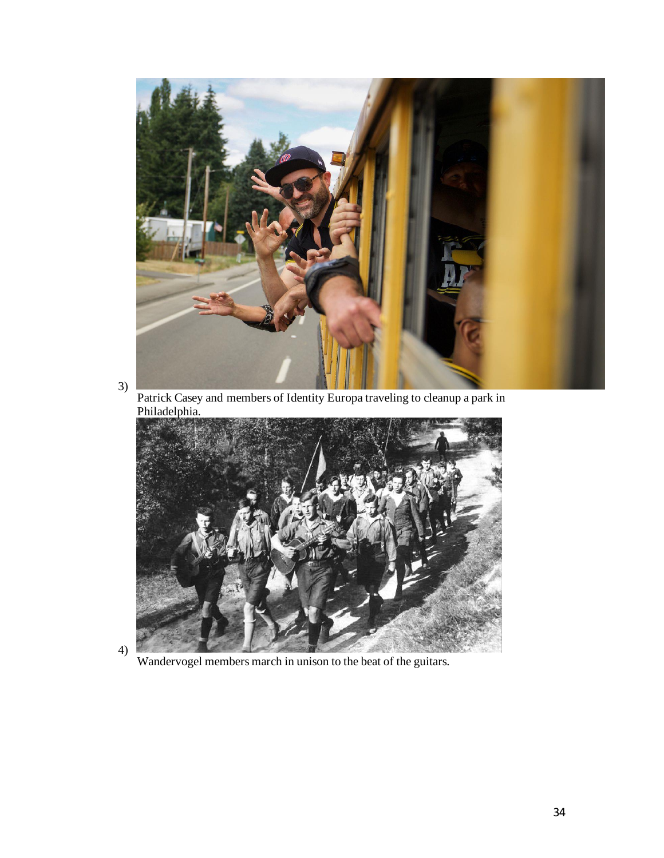

3)

Patrick Casey and members of Identity Europa traveling to cleanup a park in Philadelphia.



4)

Wandervogel members march in unison to the beat of the guitars.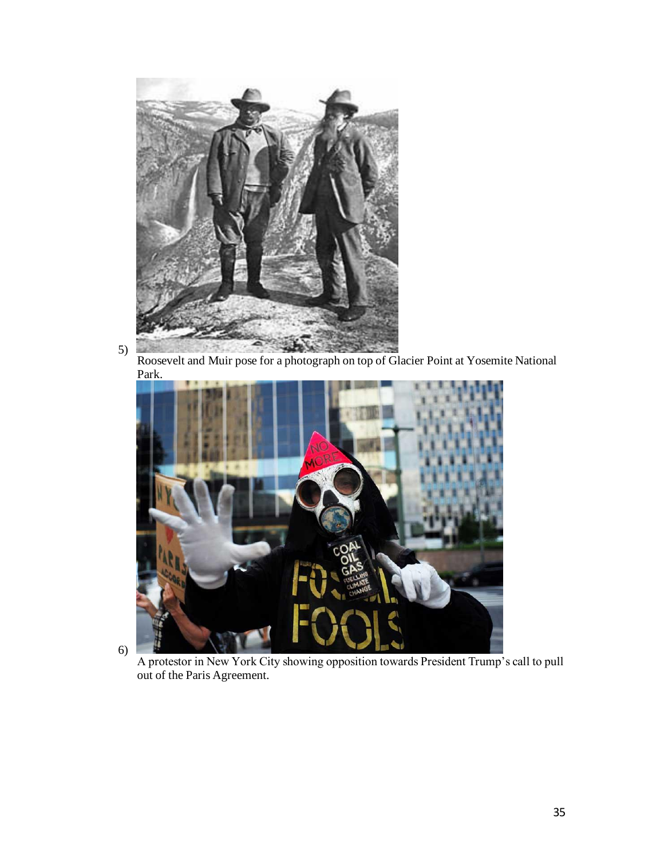

5) Roosevelt and Muir pose for a photograph on top of Glacier Point at Yosemite National Park.



6)

A protestor in New York City showing opposition towards President Trump's call to pull out of the Paris Agreement.